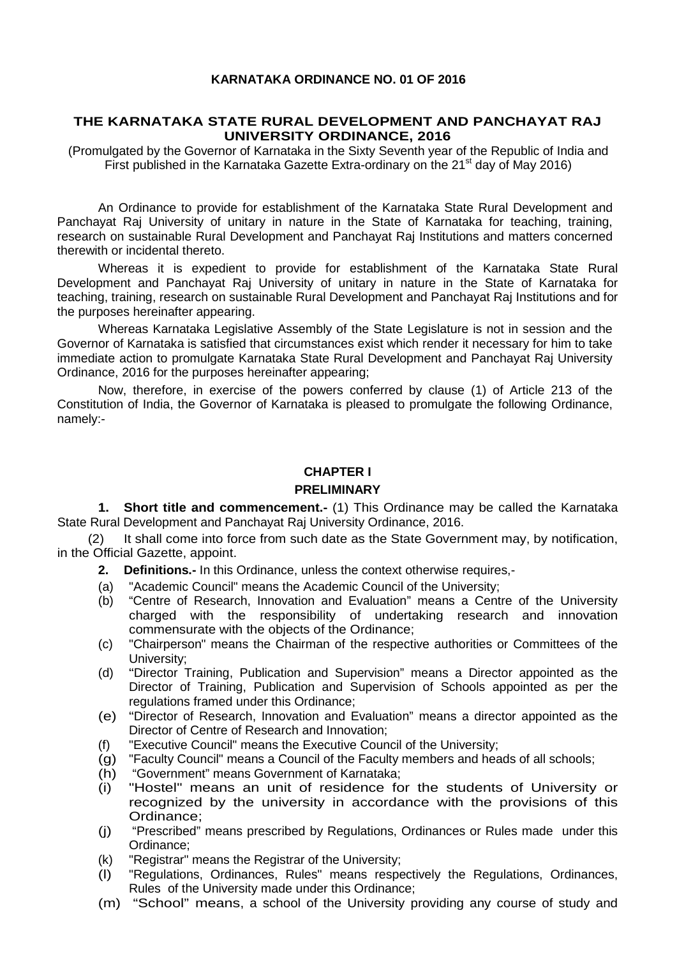#### **KARNATAKA ORDINANCE NO. 01 OF 2016**

#### **THE KARNATAKA STATE RURAL DEVELOPMENT AND PANCHAYAT RAJ UNIVERSITY ORDINANCE, 2016**

(Promulgated by the Governor of Karnataka in the Sixty Seventh year of the Republic of India and First published in the Karnataka Gazette Extra-ordinary on the  $21<sup>st</sup>$  day of May 2016)

An Ordinance to provide for establishment of the Karnataka State Rural Development and Panchayat Raj University of unitary in nature in the State of Karnataka for teaching, training, research on sustainable Rural Development and Panchayat Raj Institutions and matters concerned therewith or incidental thereto.

Whereas it is expedient to provide for establishment of the Karnataka State Rural Development and Panchayat Raj University of unitary in nature in the State of Karnataka for teaching, training, research on sustainable Rural Development and Panchayat Raj Institutions and for the purposes hereinafter appearing.

Whereas Karnataka Legislative Assembly of the State Legislature is not in session and the Governor of Karnataka is satisfied that circumstances exist which render it necessary for him to take immediate action to promulgate Karnataka State Rural Development and Panchayat Raj University Ordinance, 2016 for the purposes hereinafter appearing;

Now, therefore, in exercise of the powers conferred by clause (1) of Article 213 of the Constitution of India, the Governor of Karnataka is pleased to promulgate the following Ordinance, namely:-

#### **CHAPTER I**

#### **PRELIMINARY**

**1. Short title and commencement.-** (1) This Ordinance may be called the Karnataka State Rural Development and Panchayat Raj University Ordinance, 2016.

(2) It shall come into force from such date as the State Government may, by notification, in the Official Gazette, appoint.

- **2. Definitions.-** In this Ordinance, unless the context otherwise requires,-
- (a) "Academic Council" means the Academic Council of the University;
- (b) "Centre of Research, Innovation and Evaluation" means a Centre of the University charged with the responsibility of undertaking research and innovation commensurate with the objects of the Ordinance;
- (c) "Chairperson" means the Chairman of the respective authorities or Committees of the University;
- (d) "Director Training, Publication and Supervision" means a Director appointed as the Director of Training, Publication and Supervision of Schools appointed as per the regulations framed under this Ordinance;
- (e) "Director of Research, Innovation and Evaluation" means a director appointed as the Director of Centre of Research and Innovation;
- (f) "Executive Council" means the Executive Council of the University;
- (g) "Faculty Council" means a Council of the Faculty members and heads of all schools;
- 
- (h) "Government" means Government of Karnataka; "Hostel" means an unit of residence for the students of University or recognized by the university in accordance with the provisions of this Ordinance;
- (j) "Prescribed" means prescribed by Regulations, Ordinances or Rules made under this Ordinance;
- (k) "Registrar" means the Registrar of the University;
- (l) "Regulations, Ordinances, Rules" means respectively the Regulations, Ordinances, Rules of the University made under this Ordinance;
- (m) "School" means, a school of the University providing any course of study and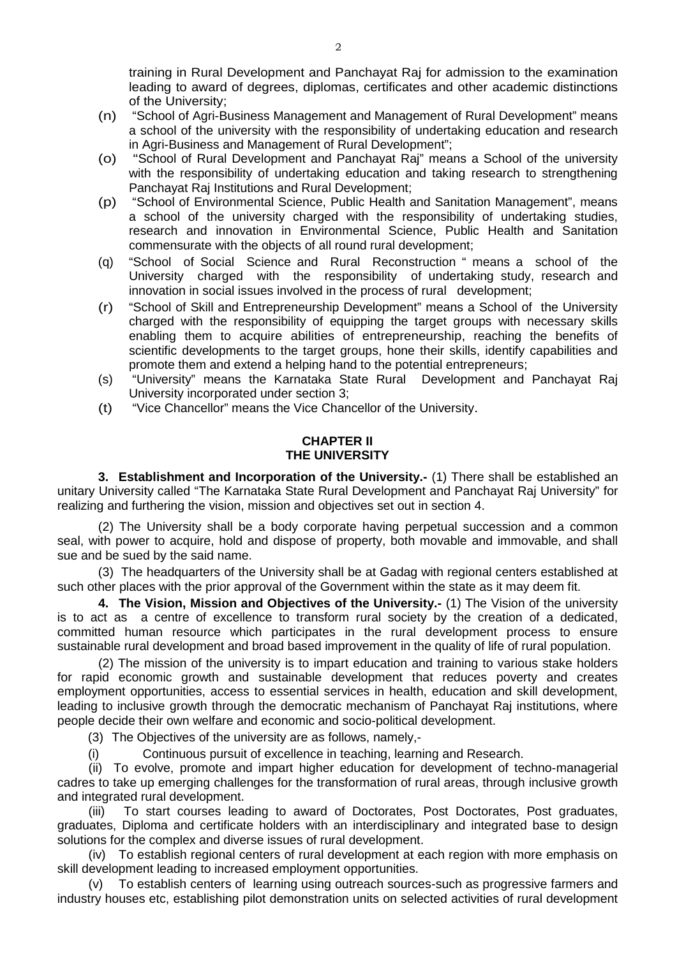training in Rural Development and Panchayat Raj for admission to the examination leading to award of degrees, diplomas, certificates and other academic distinctions of the University;

- (n) "School of Agri-Business Management and Management of Rural Development" means a school of the university with the responsibility of undertaking education and research in Agri-Business and Management of Rural Development";
- (o) "School of Rural Development and Panchayat Raj" means a School of the university with the responsibility of undertaking education and taking research to strengthening Panchayat Raj Institutions and Rural Development;
- (p) "School of Environmental Science, Public Health and Sanitation Management", means a school of the university charged with the responsibility of undertaking studies, research and innovation in Environmental Science, Public Health and Sanitation commensurate with the objects of all round rural development;
- (q) "School of Social Science and Rural Reconstruction " means a school of the University charged with the responsibility of undertaking study, research and innovation in social issues involved in the process of rural development;
- (r) "School of Skill and Entrepreneurship Development" means a School of the University charged with the responsibility of equipping the target groups with necessary skills enabling them to acquire abilities of entrepreneurship, reaching the benefits of scientific developments to the target groups, hone their skills, identify capabilities and promote them and extend a helping hand to the potential entrepreneurs;
- (s) "University" means the Karnataka State Rural Development and Panchayat Raj University incorporated under section 3;
- (t) "Vice Chancellor" means the Vice Chancellor of the University.

## **CHAPTER II THE UNIVERSITY**

**3. Establishment and Incorporation of the University.-** (1) There shall be established an unitary University called "The Karnataka State Rural Development and Panchayat Raj University" for realizing and furthering the vision, mission and objectives set out in section 4.

(2) The University shall be a body corporate having perpetual succession and a common seal, with power to acquire, hold and dispose of property, both movable and immovable, and shall sue and be sued by the said name.

(3) The headquarters of the University shall be at Gadag with regional centers established at such other places with the prior approval of the Government within the state as it may deem fit.

**4. The Vision, Mission and Objectives of the University.-** (1) The Vision of the university is to act as a centre of excellence to transform rural society by the creation of a dedicated, committed human resource which participates in the rural development process to ensure sustainable rural development and broad based improvement in the quality of life of rural population.

(2) The mission of the university is to impart education and training to various stake holders for rapid economic growth and sustainable development that reduces poverty and creates employment opportunities, access to essential services in health, education and skill development, leading to inclusive growth through the democratic mechanism of Panchayat Raj institutions, where people decide their own welfare and economic and socio-political development.

(3) The Objectives of the university are as follows, namely,-

(i) Continuous pursuit of excellence in teaching, learning and Research.

(ii) To evolve, promote and impart higher education for development of techno-managerial cadres to take up emerging challenges for the transformation of rural areas, through inclusive growth and integrated rural development.

(iii) To start courses leading to award of Doctorates, Post Doctorates, Post graduates, graduates, Diploma and certificate holders with an interdisciplinary and integrated base to design solutions for the complex and diverse issues of rural development.

(iv) To establish regional centers of rural development at each region with more emphasis on skill development leading to increased employment opportunities.

(v) To establish centers of learning using outreach sources-such as progressive farmers and industry houses etc, establishing pilot demonstration units on selected activities of rural development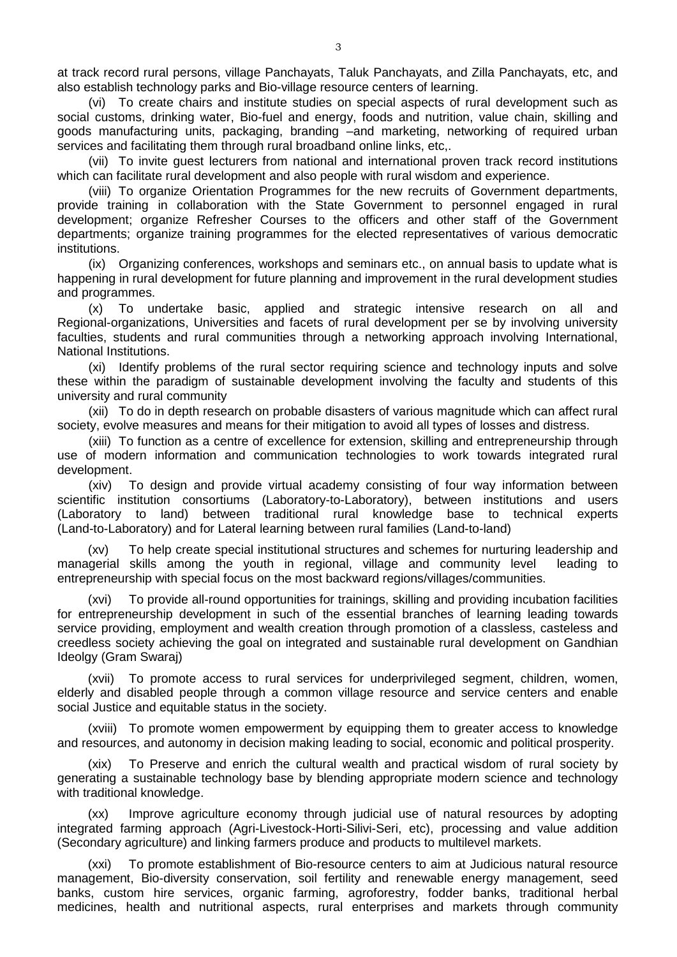at track record rural persons, village Panchayats, Taluk Panchayats, and Zilla Panchayats, etc, and also establish technology parks and Bio-village resource centers of learning.

(vi) To create chairs and institute studies on special aspects of rural development such as social customs, drinking water, Bio-fuel and energy, foods and nutrition, value chain, skilling and goods manufacturing units, packaging, branding –and marketing, networking of required urban services and facilitating them through rural broadband online links, etc,.

(vii) To invite guest lecturers from national and international proven track record institutions which can facilitate rural development and also people with rural wisdom and experience.

(viii) To organize Orientation Programmes for the new recruits of Government departments, provide training in collaboration with the State Government to personnel engaged in rural development; organize Refresher Courses to the officers and other staff of the Government departments; organize training programmes for the elected representatives of various democratic institutions.

(ix) Organizing conferences, workshops and seminars etc., on annual basis to update what is happening in rural development for future planning and improvement in the rural development studies and programmes.

(x) To undertake basic, applied and strategic intensive research on all and Regional-organizations, Universities and facets of rural development per se by involving university faculties, students and rural communities through a networking approach involving International, National Institutions.

(xi) Identify problems of the rural sector requiring science and technology inputs and solve these within the paradigm of sustainable development involving the faculty and students of this university and rural community

(xii) To do in depth research on probable disasters of various magnitude which can affect rural society, evolve measures and means for their mitigation to avoid all types of losses and distress.

(xiii) To function as a centre of excellence for extension, skilling and entrepreneurship through use of modern information and communication technologies to work towards integrated rural development.

(xiv) To design and provide virtual academy consisting of four way information between scientific institution consortiums (Laboratory-to-Laboratory), between institutions and users (Laboratory to land) between traditional rural knowledge base to technical experts (Land-to-Laboratory) and for Lateral learning between rural families (Land-to-land)

(xv) To help create special institutional structures and schemes for nurturing leadership and managerial skills among the youth in regional, village and community level leading to entrepreneurship with special focus on the most backward regions/villages/communities.

(xvi) To provide all-round opportunities for trainings, skilling and providing incubation facilities for entrepreneurship development in such of the essential branches of learning leading towards service providing, employment and wealth creation through promotion of a classless, casteless and creedless society achieving the goal on integrated and sustainable rural development on Gandhian Ideolgy (Gram Swaraj)

(xvii) To promote access to rural services for underprivileged segment, children, women, elderly and disabled people through a common village resource and service centers and enable social Justice and equitable status in the society.

(xviii) To promote women empowerment by equipping them to greater access to knowledge and resources, and autonomy in decision making leading to social, economic and political prosperity.

(xix) To Preserve and enrich the cultural wealth and practical wisdom of rural society by generating a sustainable technology base by blending appropriate modern science and technology with traditional knowledge.

(xx) Improve agriculture economy through judicial use of natural resources by adopting integrated farming approach (Agri-Livestock-Horti-Silivi-Seri, etc), processing and value addition (Secondary agriculture) and linking farmers produce and products to multilevel markets.

(xxi) To promote establishment of Bio-resource centers to aim at Judicious natural resource management, Bio-diversity conservation, soil fertility and renewable energy management, seed banks, custom hire services, organic farming, agroforestry, fodder banks, traditional herbal medicines, health and nutritional aspects, rural enterprises and markets through community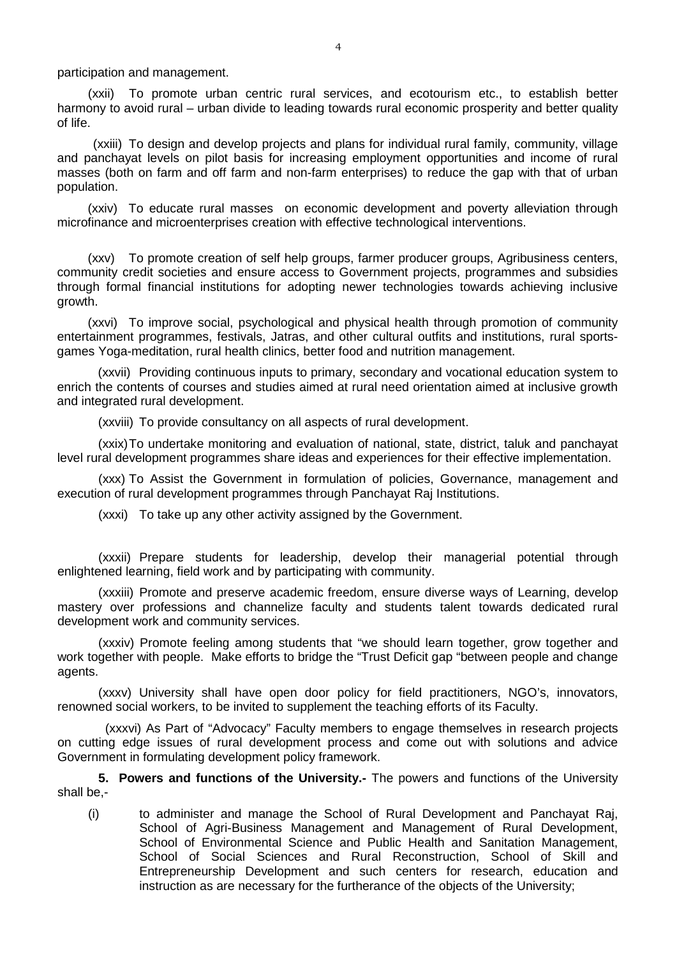participation and management.

(xxii) To promote urban centric rural services, and ecotourism etc., to establish better harmony to avoid rural – urban divide to leading towards rural economic prosperity and better quality of life.

(xxiii) To design and develop projects and plans for individual rural family, community, village and panchayat levels on pilot basis for increasing employment opportunities and income of rural masses (both on farm and off farm and non-farm enterprises) to reduce the gap with that of urban population.

(xxiv) To educate rural masses on economic development and poverty alleviation through microfinance and microenterprises creation with effective technological interventions.

(xxv) To promote creation of self help groups, farmer producer groups, Agribusiness centers, community credit societies and ensure access to Government projects, programmes and subsidies through formal financial institutions for adopting newer technologies towards achieving inclusive growth.

(xxvi) To improve social, psychological and physical health through promotion of community entertainment programmes, festivals, Jatras, and other cultural outfits and institutions, rural sportsgames Yoga-meditation, rural health clinics, better food and nutrition management.

(xxvii) Providing continuous inputs to primary, secondary and vocational education system to enrich the contents of courses and studies aimed at rural need orientation aimed at inclusive growth and integrated rural development.

(xxviii) To provide consultancy on all aspects of rural development.

(xxix)To undertake monitoring and evaluation of national, state, district, taluk and panchayat level rural development programmes share ideas and experiences for their effective implementation.

(xxx) To Assist the Government in formulation of policies, Governance, management and execution of rural development programmes through Panchayat Raj Institutions.

(xxxi) To take up any other activity assigned by the Government.

(xxxii) Prepare students for leadership, develop their managerial potential through enlightened learning, field work and by participating with community.

(xxxiii) Promote and preserve academic freedom, ensure diverse ways of Learning, develop mastery over professions and channelize faculty and students talent towards dedicated rural development work and community services.

(xxxiv) Promote feeling among students that "we should learn together, grow together and work together with people. Make efforts to bridge the "Trust Deficit gap "between people and change agents.

(xxxv) University shall have open door policy for field practitioners, NGO's, innovators, renowned social workers, to be invited to supplement the teaching efforts of its Faculty.

 (xxxvi) As Part of "Advocacy" Faculty members to engage themselves in research projects on cutting edge issues of rural development process and come out with solutions and advice Government in formulating development policy framework.

**5. Powers and functions of the University.-** The powers and functions of the University shall be,-

(i) to administer and manage the School of Rural Development and Panchayat Raj, School of Agri-Business Management and Management of Rural Development, School of Environmental Science and Public Health and Sanitation Management, School of Social Sciences and Rural Reconstruction, School of Skill and Entrepreneurship Development and such centers for research, education and instruction as are necessary for the furtherance of the objects of the University;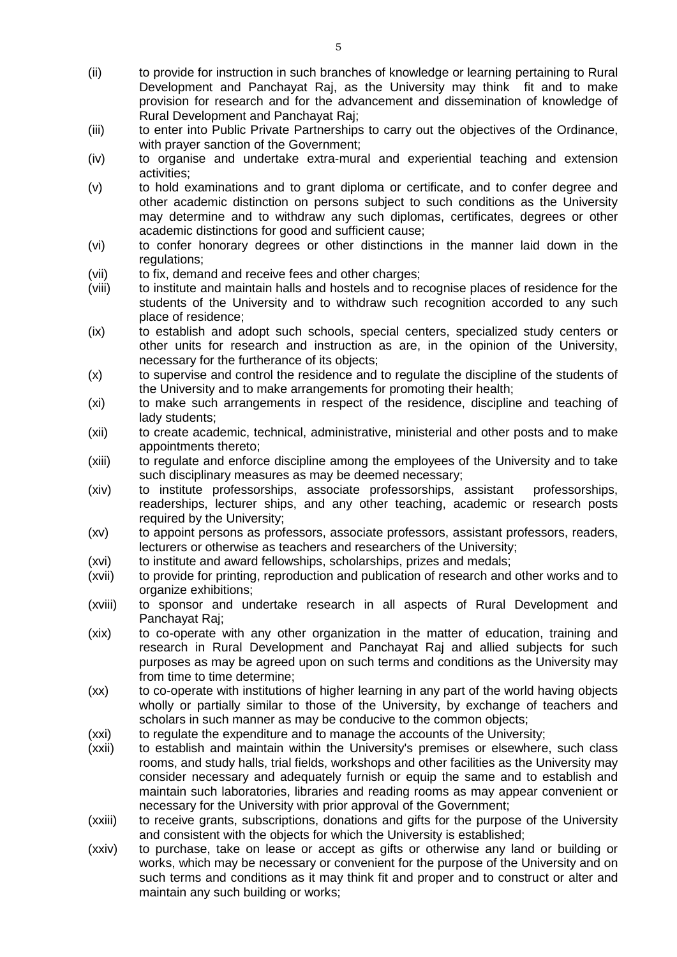- (ii) to provide for instruction in such branches of knowledge or learning pertaining to Rural Development and Panchayat Raj, as the University may think fit and to make provision for research and for the advancement and dissemination of knowledge of Rural Development and Panchayat Raj;
- (iii) to enter into Public Private Partnerships to carry out the objectives of the Ordinance, with prayer sanction of the Government;
- (iv) to organise and undertake extra-mural and experiential teaching and extension activities;
- (v) to hold examinations and to grant diploma or certificate, and to confer degree and other academic distinction on persons subject to such conditions as the University may determine and to withdraw any such diplomas, certificates, degrees or other academic distinctions for good and sufficient cause;
- (vi) to confer honorary degrees or other distinctions in the manner laid down in the regulations;
- (vii) to fix, demand and receive fees and other charges;
- (viii) to institute and maintain halls and hostels and to recognise places of residence for the students of the University and to withdraw such recognition accorded to any such place of residence;
- (ix) to establish and adopt such schools, special centers, specialized study centers or other units for research and instruction as are, in the opinion of the University, necessary for the furtherance of its objects;
- (x) to supervise and control the residence and to regulate the discipline of the students of the University and to make arrangements for promoting their health;
- (xi) to make such arrangements in respect of the residence, discipline and teaching of lady students;
- (xii) to create academic, technical, administrative, ministerial and other posts and to make appointments thereto;
- (xiii) to regulate and enforce discipline among the employees of the University and to take such disciplinary measures as may be deemed necessary;
- (xiv) to institute professorships, associate professorships, assistant professorships, readerships, lecturer ships, and any other teaching, academic or research posts required by the University:
- (xv) to appoint persons as professors, associate professors, assistant professors, readers, lecturers or otherwise as teachers and researchers of the University;
- (xvi) to institute and award fellowships, scholarships, prizes and medals;
- (xvii) to provide for printing, reproduction and publication of research and other works and to organize exhibitions;
- (xviii) to sponsor and undertake research in all aspects of Rural Development and Panchayat Raj;
- (xix) to co-operate with any other organization in the matter of education, training and research in Rural Development and Panchayat Raj and allied subjects for such purposes as may be agreed upon on such terms and conditions as the University may from time to time determine;
- (xx) to co-operate with institutions of higher learning in any part of the world having objects wholly or partially similar to those of the University, by exchange of teachers and scholars in such manner as may be conducive to the common objects;
- (xxi) to regulate the expenditure and to manage the accounts of the University;
- (xxii) to establish and maintain within the University's premises or elsewhere, such class rooms, and study halls, trial fields, workshops and other facilities as the University may consider necessary and adequately furnish or equip the same and to establish and maintain such laboratories, libraries and reading rooms as may appear convenient or necessary for the University with prior approval of the Government;
- (xxiii) to receive grants, subscriptions, donations and gifts for the purpose of the University and consistent with the objects for which the University is established;
- (xxiv) to purchase, take on lease or accept as gifts or otherwise any land or building or works, which may be necessary or convenient for the purpose of the University and on such terms and conditions as it may think fit and proper and to construct or alter and maintain any such building or works;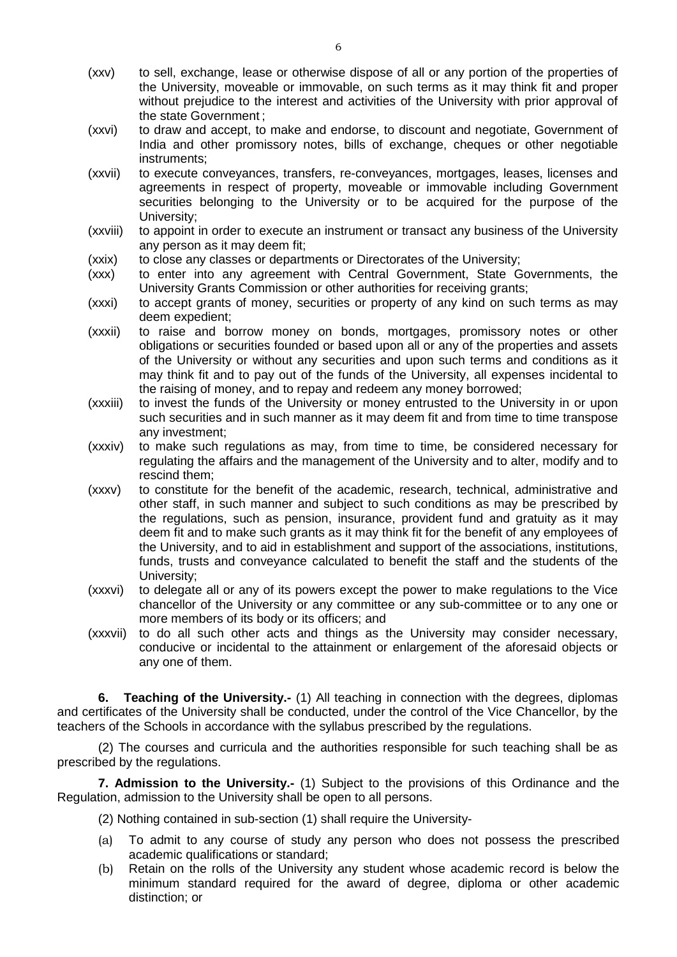- (xxv) to sell, exchange, lease or otherwise dispose of all or any portion of the properties of the University, moveable or immovable, on such terms as it may think fit and proper without prejudice to the interest and activities of the University with prior approval of the state Government ;
- (xxvi) to draw and accept, to make and endorse, to discount and negotiate, Government of India and other promissory notes, bills of exchange, cheques or other negotiable instruments;
- (xxvii) to execute conveyances, transfers, re-conveyances, mortgages, leases, licenses and agreements in respect of property, moveable or immovable including Government securities belonging to the University or to be acquired for the purpose of the University;
- (xxviii) to appoint in order to execute an instrument or transact any business of the University any person as it may deem fit;
- (xxix) to close any classes or departments or Directorates of the University;
- (xxx) to enter into any agreement with Central Government, State Governments, the University Grants Commission or other authorities for receiving grants;
- (xxxi) to accept grants of money, securities or property of any kind on such terms as may deem expedient;
- (xxxii) to raise and borrow money on bonds, mortgages, promissory notes or other obligations or securities founded or based upon all or any of the properties and assets of the University or without any securities and upon such terms and conditions as it may think fit and to pay out of the funds of the University, all expenses incidental to the raising of money, and to repay and redeem any money borrowed;
- (xxxiii) to invest the funds of the University or money entrusted to the University in or upon such securities and in such manner as it may deem fit and from time to time transpose any investment;
- (xxxiv) to make such regulations as may, from time to time, be considered necessary for regulating the affairs and the management of the University and to alter, modify and to rescind them;
- (xxxv) to constitute for the benefit of the academic, research, technical, administrative and other staff, in such manner and subject to such conditions as may be prescribed by the regulations, such as pension, insurance, provident fund and gratuity as it may deem fit and to make such grants as it may think fit for the benefit of any employees of the University, and to aid in establishment and support of the associations, institutions, funds, trusts and conveyance calculated to benefit the staff and the students of the University;
- (xxxvi) to delegate all or any of its powers except the power to make regulations to the Vice chancellor of the University or any committee or any sub-committee or to any one or more members of its body or its officers; and
- (xxxvii) to do all such other acts and things as the University may consider necessary, conducive or incidental to the attainment or enlargement of the aforesaid objects or any one of them.

**6. Teaching of the University.-** (1) All teaching in connection with the degrees, diplomas and certificates of the University shall be conducted, under the control of the Vice Chancellor, by the teachers of the Schools in accordance with the syllabus prescribed by the regulations.

(2) The courses and curricula and the authorities responsible for such teaching shall be as prescribed by the regulations.

**7. Admission to the University.-** (1) Subject to the provisions of this Ordinance and the Regulation, admission to the University shall be open to all persons.

(2) Nothing contained in sub-section (1) shall require the University-

- (a) To admit to any course of study any person who does not possess the prescribed academic qualifications or standard;
- (b) Retain on the rolls of the University any student whose academic record is below the minimum standard required for the award of degree, diploma or other academic distinction; or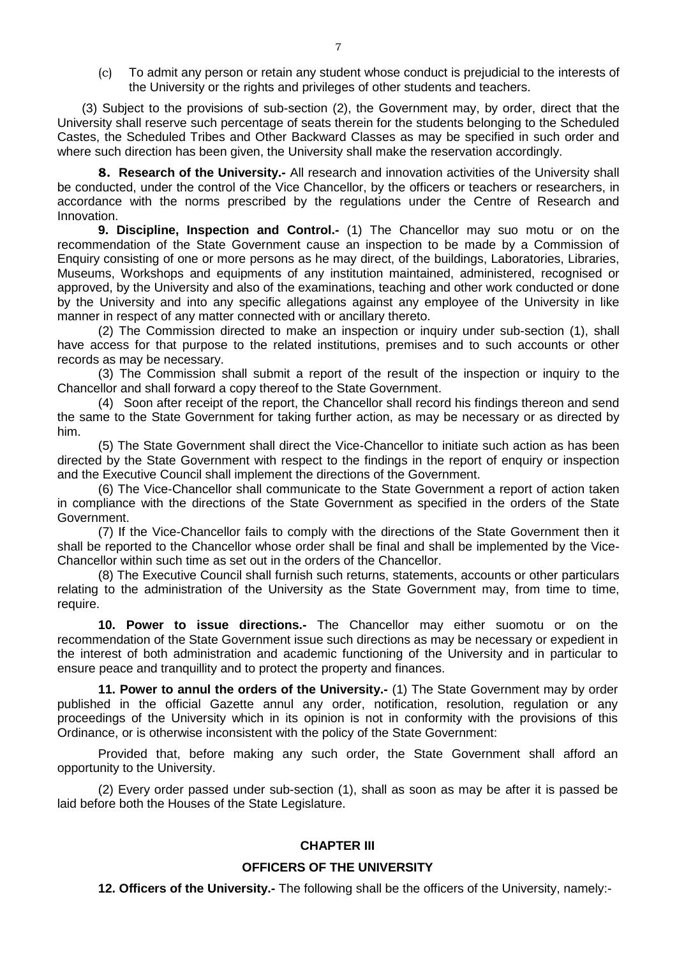(c) To admit any person or retain any student whose conduct is prejudicial to the interests of the University or the rights and privileges of other students and teachers.

(3) Subject to the provisions of sub-section (2), the Government may, by order, direct that the University shall reserve such percentage of seats therein for the students belonging to the Scheduled Castes, the Scheduled Tribes and Other Backward Classes as may be specified in such order and where such direction has been given, the University shall make the reservation accordingly.

**8. Research of the University.-** All research and innovation activities of the University shall be conducted, under the control of the Vice Chancellor, by the officers or teachers or researchers, in accordance with the norms prescribed by the regulations under the Centre of Research and Innovation.

**9. Discipline, Inspection and Control.-** (1) The Chancellor may suo motu or on the recommendation of the State Government cause an inspection to be made by a Commission of Enquiry consisting of one or more persons as he may direct, of the buildings, Laboratories, Libraries, Museums, Workshops and equipments of any institution maintained, administered, recognised or approved, by the University and also of the examinations, teaching and other work conducted or done by the University and into any specific allegations against any employee of the University in like manner in respect of any matter connected with or ancillary thereto.

(2) The Commission directed to make an inspection or inquiry under sub-section (1), shall have access for that purpose to the related institutions, premises and to such accounts or other records as may be necessary.

(3) The Commission shall submit a report of the result of the inspection or inquiry to the Chancellor and shall forward a copy thereof to the State Government.

(4) Soon after receipt of the report, the Chancellor shall record his findings thereon and send the same to the State Government for taking further action, as may be necessary or as directed by him.

(5) The State Government shall direct the Vice-Chancellor to initiate such action as has been directed by the State Government with respect to the findings in the report of enquiry or inspection and the Executive Council shall implement the directions of the Government.

(6) The Vice-Chancellor shall communicate to the State Government a report of action taken in compliance with the directions of the State Government as specified in the orders of the State Government.

(7) If the Vice-Chancellor fails to comply with the directions of the State Government then it shall be reported to the Chancellor whose order shall be final and shall be implemented by the Vice-Chancellor within such time as set out in the orders of the Chancellor.

(8) The Executive Council shall furnish such returns, statements, accounts or other particulars relating to the administration of the University as the State Government may, from time to time, require.

**10. Power to issue directions.-** The Chancellor may either suomotu or on the recommendation of the State Government issue such directions as may be necessary or expedient in the interest of both administration and academic functioning of the University and in particular to ensure peace and tranquillity and to protect the property and finances.

**11. Power to annul the orders of the University.-** (1) The State Government may by order published in the official Gazette annul any order, notification, resolution, regulation or any proceedings of the University which in its opinion is not in conformity with the provisions of this Ordinance, or is otherwise inconsistent with the policy of the State Government:

Provided that, before making any such order, the State Government shall afford an opportunity to the University.

(2) Every order passed under sub-section (1), shall as soon as may be after it is passed be laid before both the Houses of the State Legislature.

## **CHAPTER III**

## **OFFICERS OF THE UNIVERSITY**

**12. Officers of the University.-** The following shall be the officers of the University, namely:-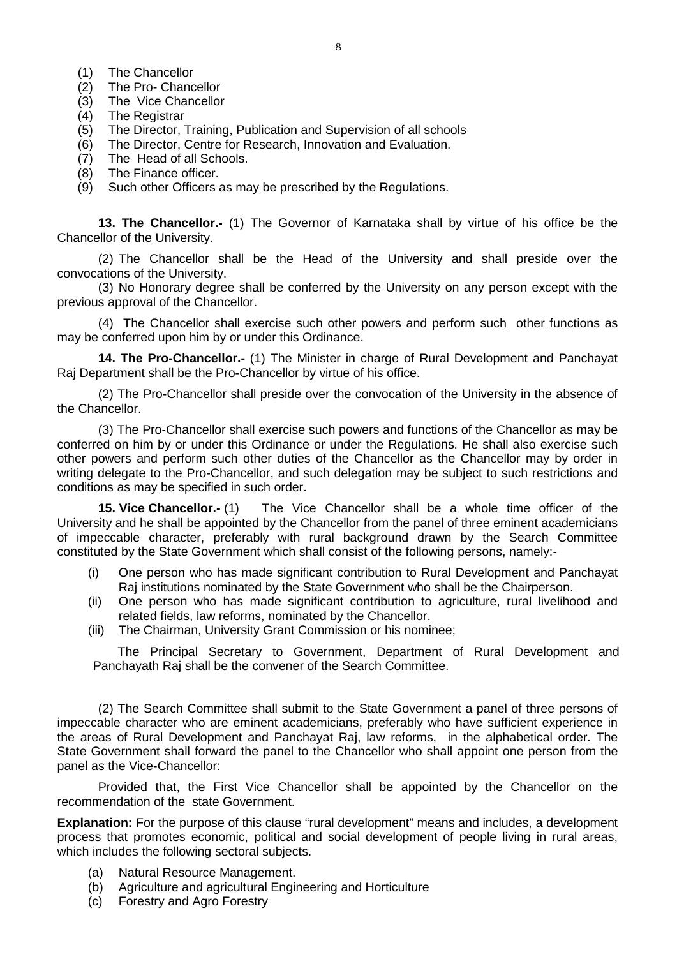- (1) The Chancellor
- (2) The Pro- Chancellor
- (3) The Vice Chancellor
- (4) The Registrar
- (5) The Director, Training, Publication and Supervision of all schools
- (6) The Director, Centre for Research, Innovation and Evaluation.
- (7) The Head of all Schools.
- (8) The Finance officer.
- (9) Such other Officers as may be prescribed by the Regulations.

**13. The Chancellor.-** (1) The Governor of Karnataka shall by virtue of his office be the Chancellor of the University.

(2) The Chancellor shall be the Head of the University and shall preside over the convocations of the University.

(3) No Honorary degree shall be conferred by the University on any person except with the previous approval of the Chancellor.

(4) The Chancellor shall exercise such other powers and perform such other functions as may be conferred upon him by or under this Ordinance.

**14. The Pro-Chancellor.-** (1) The Minister in charge of Rural Development and Panchayat Raj Department shall be the Pro-Chancellor by virtue of his office.

(2) The Pro-Chancellor shall preside over the convocation of the University in the absence of the Chancellor.

(3) The Pro-Chancellor shall exercise such powers and functions of the Chancellor as may be conferred on him by or under this Ordinance or under the Regulations. He shall also exercise such other powers and perform such other duties of the Chancellor as the Chancellor may by order in writing delegate to the Pro-Chancellor, and such delegation may be subject to such restrictions and conditions as may be specified in such order.

**15. Vice Chancellor.-** (1) The Vice Chancellor shall be a whole time officer of the University and he shall be appointed by the Chancellor from the panel of three eminent academicians of impeccable character, preferably with rural background drawn by the Search Committee constituted by the State Government which shall consist of the following persons, namely:-

- (i) One person who has made significant contribution to Rural Development and Panchayat Raj institutions nominated by the State Government who shall be the Chairperson.
- (ii) One person who has made significant contribution to agriculture, rural livelihood and related fields, law reforms, nominated by the Chancellor.
- (iii) The Chairman, University Grant Commission or his nominee;

The Principal Secretary to Government, Department of Rural Development and Panchayath Raj shall be the convener of the Search Committee.

(2) The Search Committee shall submit to the State Government a panel of three persons of impeccable character who are eminent academicians, preferably who have sufficient experience in the areas of Rural Development and Panchayat Raj, law reforms, in the alphabetical order. The State Government shall forward the panel to the Chancellor who shall appoint one person from the panel as the Vice-Chancellor:

Provided that, the First Vice Chancellor shall be appointed by the Chancellor on the recommendation of the state Government.

**Explanation:** For the purpose of this clause "rural development" means and includes, a development process that promotes economic, political and social development of people living in rural areas, which includes the following sectoral subjects.

- (a) Natural Resource Management.
- (b) Agriculture and agricultural Engineering and Horticulture
- (c) Forestry and Agro Forestry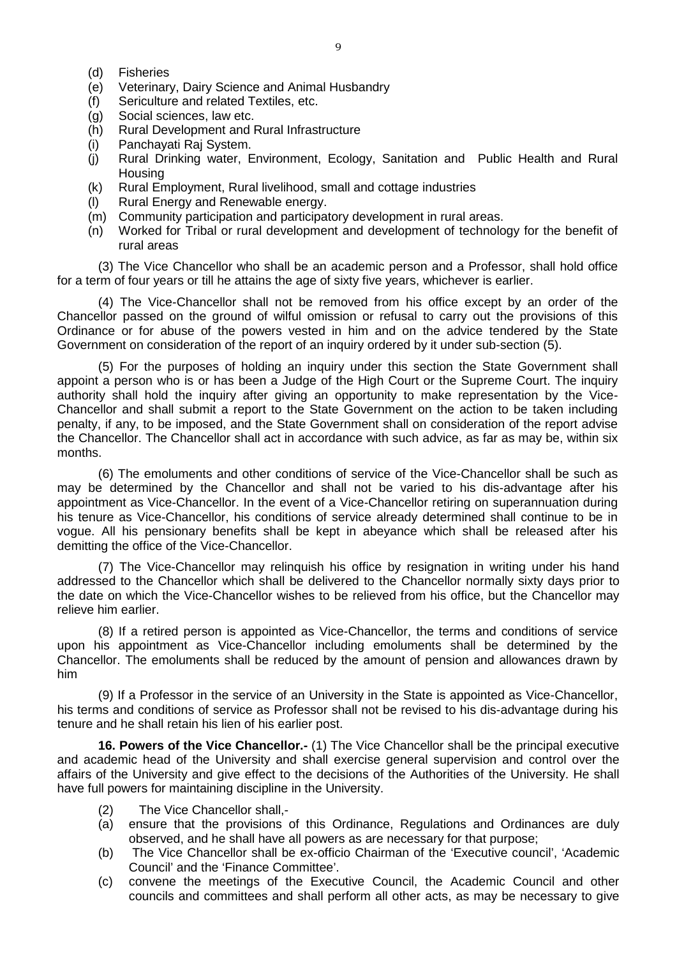- (d) Fisheries
- (e) Veterinary, Dairy Science and Animal Husbandry
- (f) Sericulture and related Textiles, etc.
- (g) Social sciences, law etc.
- (h) Rural Development and Rural Infrastructure
- (i) Panchayati Raj System.
- (j) Rural Drinking water, Environment, Ecology, Sanitation and Public Health and Rural **Housing**
- (k) Rural Employment, Rural livelihood, small and cottage industries
- (l) Rural Energy and Renewable energy.
- (m) Community participation and participatory development in rural areas.
- (n) Worked for Tribal or rural development and development of technology for the benefit of rural areas

(3) The Vice Chancellor who shall be an academic person and a Professor, shall hold office for a term of four years or till he attains the age of sixty five years, whichever is earlier.

(4) The Vice-Chancellor shall not be removed from his office except by an order of the Chancellor passed on the ground of wilful omission or refusal to carry out the provisions of this Ordinance or for abuse of the powers vested in him and on the advice tendered by the State Government on consideration of the report of an inquiry ordered by it under sub-section (5).

(5) For the purposes of holding an inquiry under this section the State Government shall appoint a person who is or has been a Judge of the High Court or the Supreme Court. The inquiry authority shall hold the inquiry after giving an opportunity to make representation by the Vice-Chancellor and shall submit a report to the State Government on the action to be taken including penalty, if any, to be imposed, and the State Government shall on consideration of the report advise the Chancellor. The Chancellor shall act in accordance with such advice, as far as may be, within six months.

(6) The emoluments and other conditions of service of the Vice-Chancellor shall be such as may be determined by the Chancellor and shall not be varied to his dis-advantage after his appointment as Vice-Chancellor. In the event of a Vice-Chancellor retiring on superannuation during his tenure as Vice-Chancellor, his conditions of service already determined shall continue to be in vogue. All his pensionary benefits shall be kept in abeyance which shall be released after his demitting the office of the Vice-Chancellor.

(7) The Vice-Chancellor may relinquish his office by resignation in writing under his hand addressed to the Chancellor which shall be delivered to the Chancellor normally sixty days prior to the date on which the Vice-Chancellor wishes to be relieved from his office, but the Chancellor may relieve him earlier.

(8) If a retired person is appointed as Vice-Chancellor, the terms and conditions of service upon his appointment as Vice-Chancellor including emoluments shall be determined by the Chancellor. The emoluments shall be reduced by the amount of pension and allowances drawn by him

(9) If a Professor in the service of an University in the State is appointed as Vice-Chancellor, his terms and conditions of service as Professor shall not be revised to his dis-advantage during his tenure and he shall retain his lien of his earlier post.

**16. Powers of the Vice Chancellor.-** (1) The Vice Chancellor shall be the principal executive and academic head of the University and shall exercise general supervision and control over the affairs of the University and give effect to the decisions of the Authorities of the University. He shall have full powers for maintaining discipline in the University.

- (2) The Vice Chancellor shall,-
- (a) ensure that the provisions of this Ordinance, Regulations and Ordinances are duly observed, and he shall have all powers as are necessary for that purpose;
- (b) The Vice Chancellor shall be ex-officio Chairman of the 'Executive council', 'Academic Council' and the 'Finance Committee'.
- (c) convene the meetings of the Executive Council, the Academic Council and other councils and committees and shall perform all other acts, as may be necessary to give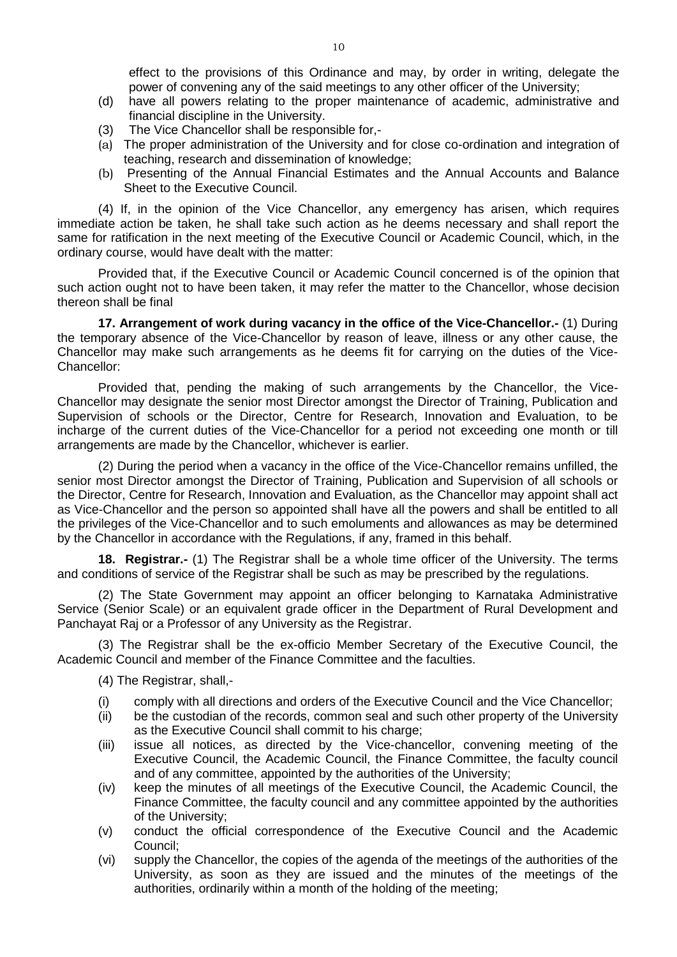effect to the provisions of this Ordinance and may, by order in writing, delegate the power of convening any of the said meetings to any other officer of the University;

- (d) have all powers relating to the proper maintenance of academic, administrative and financial discipline in the University.
- (3) The Vice Chancellor shall be responsible for,-
- (a) The proper administration of the University and for close co-ordination and integration of teaching, research and dissemination of knowledge;
- (b) Presenting of the Annual Financial Estimates and the Annual Accounts and Balance Sheet to the Executive Council.

(4) If, in the opinion of the Vice Chancellor, any emergency has arisen, which requires immediate action be taken, he shall take such action as he deems necessary and shall report the same for ratification in the next meeting of the Executive Council or Academic Council, which, in the ordinary course, would have dealt with the matter:

Provided that, if the Executive Council or Academic Council concerned is of the opinion that such action ought not to have been taken, it may refer the matter to the Chancellor, whose decision thereon shall be final

**17. Arrangement of work during vacancy in the office of the Vice-Chancellor.-** (1) During the temporary absence of the Vice-Chancellor by reason of leave, illness or any other cause, the Chancellor may make such arrangements as he deems fit for carrying on the duties of the Vice-Chancellor:

Provided that, pending the making of such arrangements by the Chancellor, the Vice-Chancellor may designate the senior most Director amongst the Director of Training, Publication and Supervision of schools or the Director, Centre for Research, Innovation and Evaluation, to be incharge of the current duties of the Vice-Chancellor for a period not exceeding one month or till arrangements are made by the Chancellor, whichever is earlier.

(2) During the period when a vacancy in the office of the Vice-Chancellor remains unfilled, the senior most Director amongst the Director of Training, Publication and Supervision of all schools or the Director, Centre for Research, Innovation and Evaluation, as the Chancellor may appoint shall act as Vice-Chancellor and the person so appointed shall have all the powers and shall be entitled to all the privileges of the Vice-Chancellor and to such emoluments and allowances as may be determined by the Chancellor in accordance with the Regulations, if any, framed in this behalf.

**18. Registrar.-** (1) The Registrar shall be a whole time officer of the University. The terms and conditions of service of the Registrar shall be such as may be prescribed by the regulations.

(2) The State Government may appoint an officer belonging to Karnataka Administrative Service (Senior Scale) or an equivalent grade officer in the Department of Rural Development and Panchayat Raj or a Professor of any University as the Registrar.

(3) The Registrar shall be the ex-officio Member Secretary of the Executive Council, the Academic Council and member of the Finance Committee and the faculties.

(4) The Registrar, shall,-

- (i) comply with all directions and orders of the Executive Council and the Vice Chancellor;<br>(ii) be the custodian of the records, common seal and such other property of the University
- be the custodian of the records, common seal and such other property of the University as the Executive Council shall commit to his charge:
- (iii) issue all notices, as directed by the Vice-chancellor, convening meeting of the Executive Council, the Academic Council, the Finance Committee, the faculty council and of any committee, appointed by the authorities of the University;
- (iv) keep the minutes of all meetings of the Executive Council, the Academic Council, the Finance Committee, the faculty council and any committee appointed by the authorities of the University;
- (v) conduct the official correspondence of the Executive Council and the Academic Council;
- (vi) supply the Chancellor, the copies of the agenda of the meetings of the authorities of the University, as soon as they are issued and the minutes of the meetings of the authorities, ordinarily within a month of the holding of the meeting;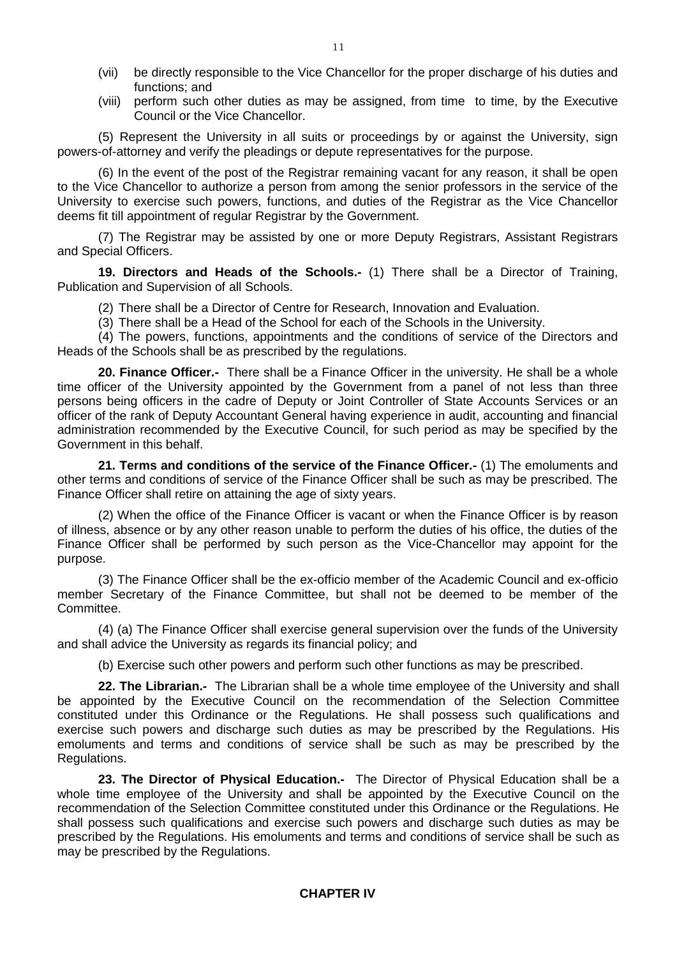- (vii) be directly responsible to the Vice Chancellor for the proper discharge of his duties and functions; and
- (viii) perform such other duties as may be assigned, from time to time, by the Executive Council or the Vice Chancellor.

(5) Represent the University in all suits or proceedings by or against the University, sign powers-of-attorney and verify the pleadings or depute representatives for the purpose.

(6) In the event of the post of the Registrar remaining vacant for any reason, it shall be open to the Vice Chancellor to authorize a person from among the senior professors in the service of the University to exercise such powers, functions, and duties of the Registrar as the Vice Chancellor deems fit till appointment of regular Registrar by the Government.

(7) The Registrar may be assisted by one or more Deputy Registrars, Assistant Registrars and Special Officers.

**19. Directors and Heads of the Schools.-** (1) There shall be a Director of Training, Publication and Supervision of all Schools.

(2) There shall be a Director of Centre for Research, Innovation and Evaluation.

(3) There shall be a Head of the School for each of the Schools in the University.

(4) The powers, functions, appointments and the conditions of service of the Directors and Heads of the Schools shall be as prescribed by the regulations.

**20. Finance Officer.-** There shall be a Finance Officer in the university. He shall be a whole time officer of the University appointed by the Government from a panel of not less than three persons being officers in the cadre of Deputy or Joint Controller of State Accounts Services or an officer of the rank of Deputy Accountant General having experience in audit, accounting and financial administration recommended by the Executive Council, for such period as may be specified by the Government in this behalf.

**21. Terms and conditions of the service of the Finance Officer.-** (1) The emoluments and other terms and conditions of service of the Finance Officer shall be such as may be prescribed. The Finance Officer shall retire on attaining the age of sixty years.

(2) When the office of the Finance Officer is vacant or when the Finance Officer is by reason of illness, absence or by any other reason unable to perform the duties of his office, the duties of the Finance Officer shall be performed by such person as the Vice-Chancellor may appoint for the purpose.

(3) The Finance Officer shall be the ex-officio member of the Academic Council and ex-officio member Secretary of the Finance Committee, but shall not be deemed to be member of the Committee.

(4) (a) The Finance Officer shall exercise general supervision over the funds of the University and shall advice the University as regards its financial policy; and

(b) Exercise such other powers and perform such other functions as may be prescribed.

**22. The Librarian.-** The Librarian shall be a whole time employee of the University and shall be appointed by the Executive Council on the recommendation of the Selection Committee constituted under this Ordinance or the Regulations. He shall possess such qualifications and exercise such powers and discharge such duties as may be prescribed by the Regulations. His emoluments and terms and conditions of service shall be such as may be prescribed by the Regulations.

**23. The Director of Physical Education.-** The Director of Physical Education shall be a whole time employee of the University and shall be appointed by the Executive Council on the recommendation of the Selection Committee constituted under this Ordinance or the Regulations. He shall possess such qualifications and exercise such powers and discharge such duties as may be prescribed by the Regulations. His emoluments and terms and conditions of service shall be such as may be prescribed by the Regulations.

## **CHAPTER IV**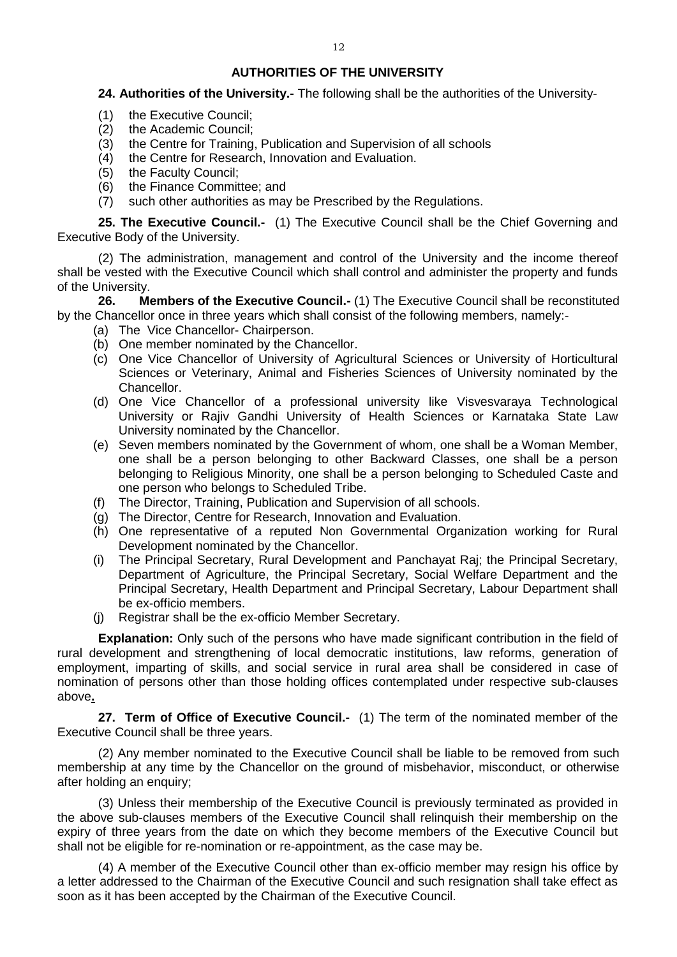## **AUTHORITIES OF THE UNIVERSITY**

## **24. Authorities of the University.-** The following shall be the authorities of the University-

- (1) the Executive Council;
- (2) the Academic Council;
- (3) the Centre for Training, Publication and Supervision of all schools (4) the Centre for Research. Innovation and Evaluation.
- the Centre for Research, Innovation and Evaluation.
- (5) the Faculty Council;
- (6) the Finance Committee; and
- (7) such other authorities as may be Prescribed by the Regulations.

**25. The Executive Council.-** (1) The Executive Council shall be the Chief Governing and Executive Body of the University.

(2) The administration, management and control of the University and the income thereof shall be vested with the Executive Council which shall control and administer the property and funds of the University.

**26. Members of the Executive Council.-** (1) The Executive Council shall be reconstituted by the Chancellor once in three years which shall consist of the following members, namely:-

- (a) The Vice Chancellor- Chairperson.
- (b) One member nominated by the Chancellor.
- (c) One Vice Chancellor of University of Agricultural Sciences or University of Horticultural Sciences or Veterinary, Animal and Fisheries Sciences of University nominated by the Chancellor.
- (d) One Vice Chancellor of a professional university like Visvesvaraya Technological University or Rajiv Gandhi University of Health Sciences or Karnataka State Law University nominated by the Chancellor.
- (e) Seven members nominated by the Government of whom, one shall be a Woman Member, one shall be a person belonging to other Backward Classes, one shall be a person belonging to Religious Minority, one shall be a person belonging to Scheduled Caste and one person who belongs to Scheduled Tribe.
- (f) The Director, Training, Publication and Supervision of all schools.
- (g) The Director, Centre for Research, Innovation and Evaluation.
- (h) One representative of a reputed Non Governmental Organization working for Rural Development nominated by the Chancellor.
- (i) The Principal Secretary, Rural Development and Panchayat Raj; the Principal Secretary, Department of Agriculture, the Principal Secretary, Social Welfare Department and the Principal Secretary, Health Department and Principal Secretary, Labour Department shall be ex-officio members.
- (j) Registrar shall be the ex-officio Member Secretary.

**Explanation:** Only such of the persons who have made significant contribution in the field of rural development and strengthening of local democratic institutions, law reforms, generation of employment, imparting of skills, and social service in rural area shall be considered in case of nomination of persons other than those holding offices contemplated under respective sub-clauses above**.**

**27. Term of Office of Executive Council.-** (1) The term of the nominated member of the Executive Council shall be three years.

(2) Any member nominated to the Executive Council shall be liable to be removed from such membership at any time by the Chancellor on the ground of misbehavior, misconduct, or otherwise after holding an enquiry;

(3) Unless their membership of the Executive Council is previously terminated as provided in the above sub-clauses members of the Executive Council shall relinquish their membership on the expiry of three years from the date on which they become members of the Executive Council but shall not be eligible for re-nomination or re-appointment, as the case may be.

(4) A member of the Executive Council other than ex-officio member may resign his office by a letter addressed to the Chairman of the Executive Council and such resignation shall take effect as soon as it has been accepted by the Chairman of the Executive Council.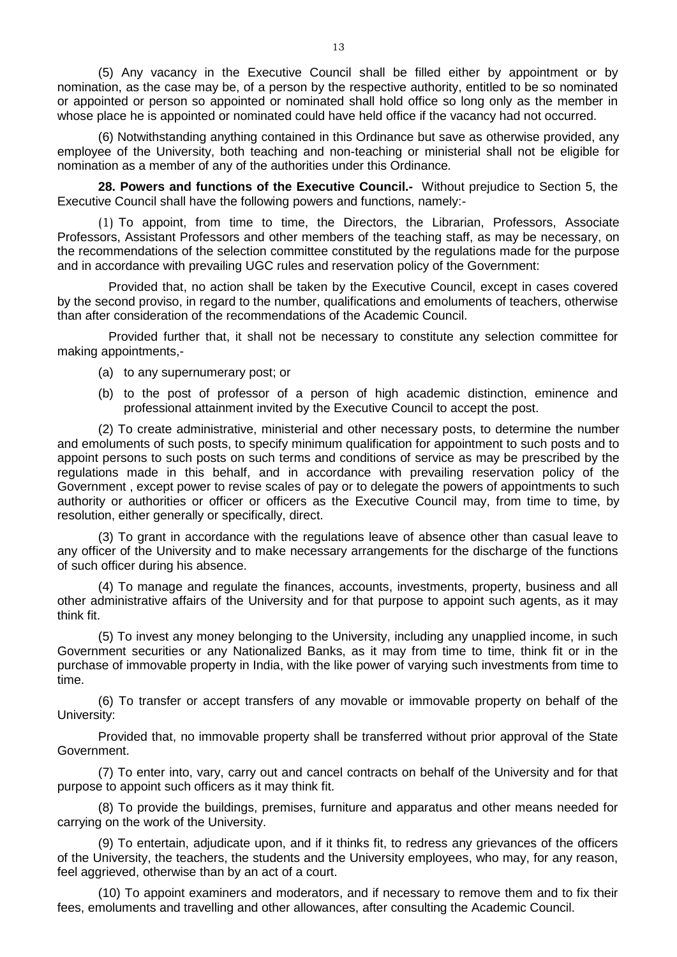(5) Any vacancy in the Executive Council shall be filled either by appointment or by nomination, as the case may be, of a person by the respective authority, entitled to be so nominated or appointed or person so appointed or nominated shall hold office so long only as the member in whose place he is appointed or nominated could have held office if the vacancy had not occurred.

(6) Notwithstanding anything contained in this Ordinance but save as otherwise provided, any employee of the University, both teaching and non-teaching or ministerial shall not be eligible for nomination as a member of any of the authorities under this Ordinance*.* 

**28. Powers and functions of the Executive Council.-** Without prejudice to Section 5, the Executive Council shall have the following powers and functions, namely:-

(1) To appoint, from time to time, the Directors, the Librarian, Professors, Associate Professors, Assistant Professors and other members of the teaching staff, as may be necessary, on the recommendations of the selection committee constituted by the regulations made for the purpose and in accordance with prevailing UGC rules and reservation policy of the Government:

 Provided that, no action shall be taken by the Executive Council, except in cases covered by the second proviso, in regard to the number, qualifications and emoluments of teachers, otherwise than after consideration of the recommendations of the Academic Council.

 Provided further that, it shall not be necessary to constitute any selection committee for making appointments,-

- (a) to any supernumerary post; or
- (b) to the post of professor of a person of high academic distinction, eminence and professional attainment invited by the Executive Council to accept the post.

(2) To create administrative, ministerial and other necessary posts, to determine the number and emoluments of such posts, to specify minimum qualification for appointment to such posts and to appoint persons to such posts on such terms and conditions of service as may be prescribed by the regulations made in this behalf, and in accordance with prevailing reservation policy of the Government , except power to revise scales of pay or to delegate the powers of appointments to such authority or authorities or officer or officers as the Executive Council may, from time to time, by resolution, either generally or specifically, direct.

(3) To grant in accordance with the regulations leave of absence other than casual leave to any officer of the University and to make necessary arrangements for the discharge of the functions of such officer during his absence.

(4) To manage and regulate the finances, accounts, investments, property, business and all other administrative affairs of the University and for that purpose to appoint such agents, as it may think fit.

(5) To invest any money belonging to the University, including any unapplied income, in such Government securities or any Nationalized Banks, as it may from time to time, think fit or in the purchase of immovable property in India, with the like power of varying such investments from time to time.

(6) To transfer or accept transfers of any movable or immovable property on behalf of the University:

Provided that, no immovable property shall be transferred without prior approval of the State Government.

(7) To enter into, vary, carry out and cancel contracts on behalf of the University and for that purpose to appoint such officers as it may think fit.

(8) To provide the buildings, premises, furniture and apparatus and other means needed for carrying on the work of the University.

(9) To entertain, adjudicate upon, and if it thinks fit, to redress any grievances of the officers of the University, the teachers, the students and the University employees, who may, for any reason, feel aggrieved, otherwise than by an act of a court.

(10) To appoint examiners and moderators, and if necessary to remove them and to fix their fees, emoluments and travelling and other allowances, after consulting the Academic Council.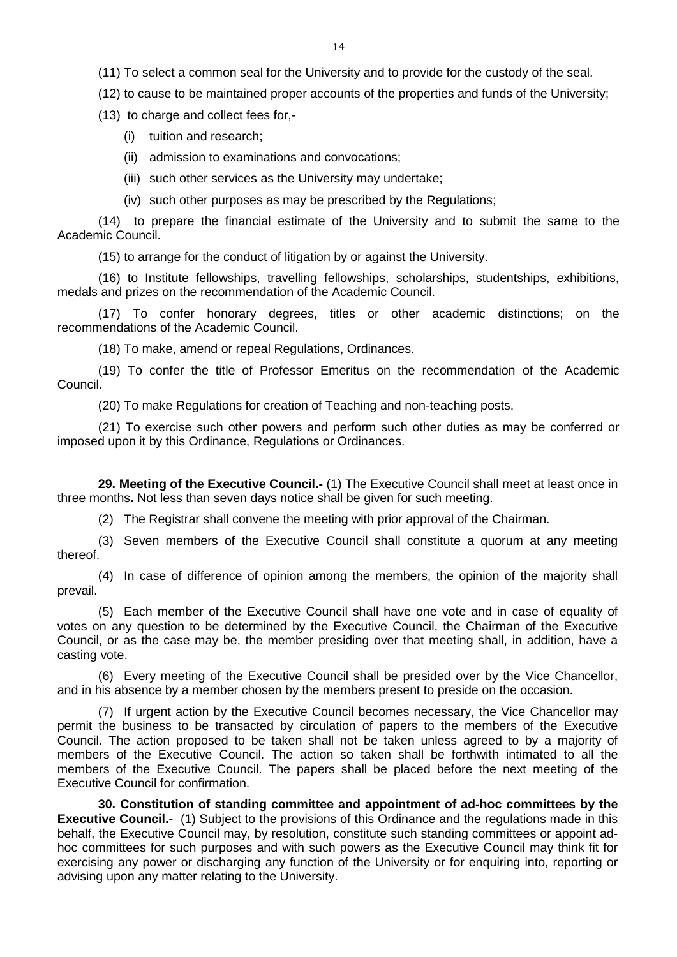(12) to cause to be maintained proper accounts of the properties and funds of the University;

(13) to charge and collect fees for,-

- (i) tuition and research;
- (ii) admission to examinations and convocations;
- (iii) such other services as the University may undertake;
- (iv) such other purposes as may be prescribed by the Regulations;

(14) to prepare the financial estimate of the University and to submit the same to the Academic Council.

(15) to arrange for the conduct of litigation by or against the University.

(16) to Institute fellowships, travelling fellowships, scholarships, studentships, exhibitions, medals and prizes on the recommendation of the Academic Council.

(17) To confer honorary degrees, titles or other academic distinctions; on the recommendations of the Academic Council.

(18) To make, amend or repeal Regulations, Ordinances.

(19) To confer the title of Professor Emeritus on the recommendation of the Academic Council.

(20) To make Regulations for creation of Teaching and non-teaching posts.

(21) To exercise such other powers and perform such other duties as may be conferred or imposed upon it by this Ordinance, Regulations or Ordinances.

**29. Meeting of the Executive Council.-** (1) The Executive Council shall meet at least once in three months**.** Not less than seven days notice shall be given for such meeting.

(2) The Registrar shall convene the meeting with prior approval of the Chairman.

(3) Seven members of the Executive Council shall constitute a quorum at any meeting thereof.

(4) In case of difference of opinion among the members, the opinion of the majority shall prevail.

(5) Each member of the Executive Council shall have one vote and in case of equality of votes on any question to be determined by the Executive Council, the Chairman of the Executive Council, or as the case may be, the member presiding over that meeting shall, in addition, have a casting vote.

(6) Every meeting of the Executive Council shall be presided over by the Vice Chancellor, and in his absence by a member chosen by the members present to preside on the occasion.

(7) If urgent action by the Executive Council becomes necessary, the Vice Chancellor may permit the business to be transacted by circulation of papers to the members of the Executive Council. The action proposed to be taken shall not be taken unless agreed to by a majority of members of the Executive Council. The action so taken shall be forthwith intimated to all the members of the Executive Council. The papers shall be placed before the next meeting of the Executive Council for confirmation.

**30. Constitution of standing committee and appointment of ad-hoc committees by the Executive Council.-** (1) Subject to the provisions of this Ordinance and the regulations made in this behalf, the Executive Council may, by resolution, constitute such standing committees or appoint adhoc committees for such purposes and with such powers as the Executive Council may think fit for exercising any power or discharging any function of the University or for enquiring into, reporting or advising upon any matter relating to the University.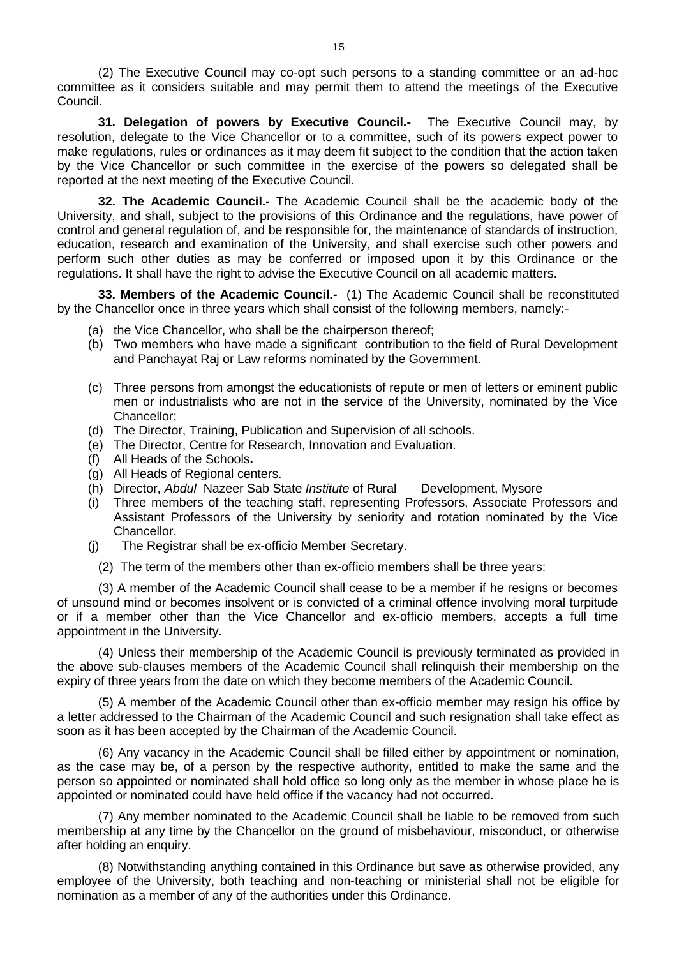(2) The Executive Council may co-opt such persons to a standing committee or an ad-hoc committee as it considers suitable and may permit them to attend the meetings of the Executive Council.

**31. Delegation of powers by Executive Council.-** The Executive Council may, by resolution, delegate to the Vice Chancellor or to a committee, such of its powers expect power to make regulations, rules or ordinances as it may deem fit subject to the condition that the action taken by the Vice Chancellor or such committee in the exercise of the powers so delegated shall be reported at the next meeting of the Executive Council.

**32. The Academic Council.-** The Academic Council shall be the academic body of the University, and shall, subject to the provisions of this Ordinance and the regulations, have power of control and general regulation of, and be responsible for, the maintenance of standards of instruction, education, research and examination of the University, and shall exercise such other powers and perform such other duties as may be conferred or imposed upon it by this Ordinance or the regulations. It shall have the right to advise the Executive Council on all academic matters.

**33. Members of the Academic Council.-** (1) The Academic Council shall be reconstituted by the Chancellor once in three years which shall consist of the following members, namely:-

- (a) the Vice Chancellor, who shall be the chairperson thereof;
- (b) Two members who have made a significant contribution to the field of Rural Development and Panchayat Raj or Law reforms nominated by the Government.
- (c) Three persons from amongst the educationists of repute or men of letters or eminent public men or industrialists who are not in the service of the University, nominated by the Vice Chancellor;
- (d) The Director, Training, Publication and Supervision of all schools.
- (e) The Director, Centre for Research, Innovation and Evaluation.
- (f) All Heads of the Schools**.**
- (g) All Heads of Regional centers.
- (h) Director, *Abdul* Nazeer Sab State *Institute* of Rural Development, Mysore
- (i) Three members of the teaching staff, representing Professors, Associate Professors and Assistant Professors of the University by seniority and rotation nominated by the Vice Chancellor.
- (j) The Registrar shall be ex-officio Member Secretary.
	- (2) The term of the members other than ex-officio members shall be three years:

(3) A member of the Academic Council shall cease to be a member if he resigns or becomes of unsound mind or becomes insolvent or is convicted of a criminal offence involving moral turpitude or if a member other than the Vice Chancellor and ex-officio members, accepts a full time appointment in the University.

(4) Unless their membership of the Academic Council is previously terminated as provided in the above sub-clauses members of the Academic Council shall relinquish their membership on the expiry of three years from the date on which they become members of the Academic Council.

(5) A member of the Academic Council other than ex-officio member may resign his office by a letter addressed to the Chairman of the Academic Council and such resignation shall take effect as soon as it has been accepted by the Chairman of the Academic Council.

(6) Any vacancy in the Academic Council shall be filled either by appointment or nomination, as the case may be, of a person by the respective authority, entitled to make the same and the person so appointed or nominated shall hold office so long only as the member in whose place he is appointed or nominated could have held office if the vacancy had not occurred.

(7) Any member nominated to the Academic Council shall be liable to be removed from such membership at any time by the Chancellor on the ground of misbehaviour, misconduct, or otherwise after holding an enquiry.

(8) Notwithstanding anything contained in this Ordinance but save as otherwise provided, any employee of the University, both teaching and non-teaching or ministerial shall not be eligible for nomination as a member of any of the authorities under this Ordinance.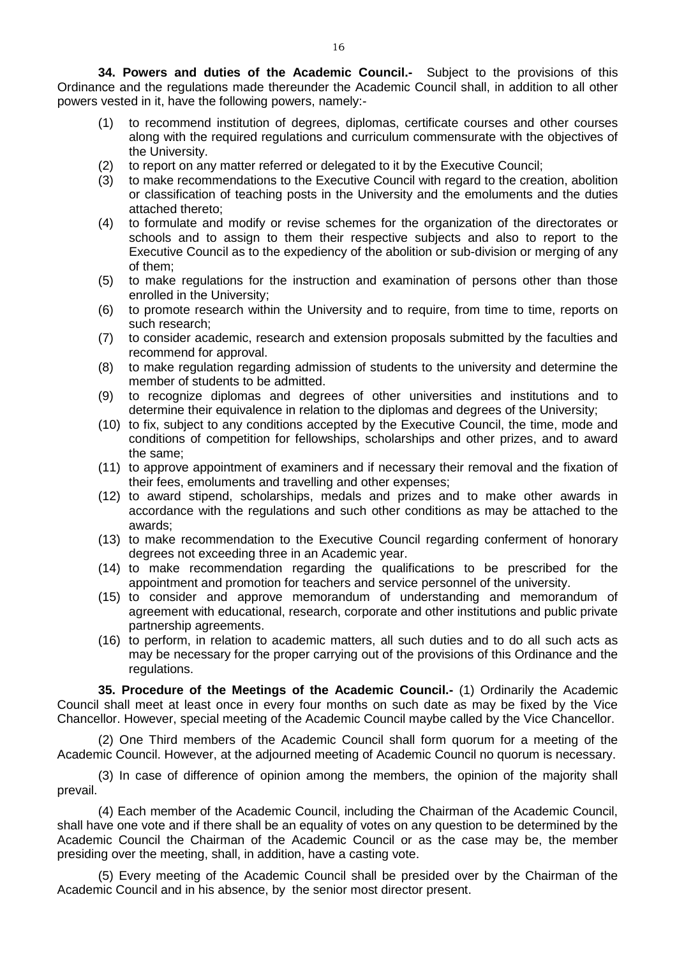**34. Powers and duties of the Academic Council.-** Subject to the provisions of this Ordinance and the regulations made thereunder the Academic Council shall, in addition to all other powers vested in it, have the following powers, namely:-

- (1) to recommend institution of degrees, diplomas, certificate courses and other courses along with the required regulations and curriculum commensurate with the objectives of the University.
- (2) to report on any matter referred or delegated to it by the Executive Council;
- (3) to make recommendations to the Executive Council with regard to the creation, abolition or classification of teaching posts in the University and the emoluments and the duties attached thereto;
- (4) to formulate and modify or revise schemes for the organization of the directorates or schools and to assign to them their respective subjects and also to report to the Executive Council as to the expediency of the abolition or sub-division or merging of any of them;
- (5) to make regulations for the instruction and examination of persons other than those enrolled in the University;
- (6) to promote research within the University and to require, from time to time, reports on such research;
- (7) to consider academic, research and extension proposals submitted by the faculties and recommend for approval.
- (8) to make regulation regarding admission of students to the university and determine the member of students to be admitted.
- (9) to recognize diplomas and degrees of other universities and institutions and to determine their equivalence in relation to the diplomas and degrees of the University;
- (10) to fix, subject to any conditions accepted by the Executive Council, the time, mode and conditions of competition for fellowships, scholarships and other prizes, and to award the same;
- (11) to approve appointment of examiners and if necessary their removal and the fixation of their fees, emoluments and travelling and other expenses;
- (12) to award stipend, scholarships, medals and prizes and to make other awards in accordance with the regulations and such other conditions as may be attached to the awards;
- (13) to make recommendation to the Executive Council regarding conferment of honorary degrees not exceeding three in an Academic year.
- (14) to make recommendation regarding the qualifications to be prescribed for the appointment and promotion for teachers and service personnel of the university.
- (15) to consider and approve memorandum of understanding and memorandum of agreement with educational, research, corporate and other institutions and public private partnership agreements.
- (16) to perform, in relation to academic matters, all such duties and to do all such acts as may be necessary for the proper carrying out of the provisions of this Ordinance and the regulations.

**35. Procedure of the Meetings of the Academic Council.-** (1) Ordinarily the Academic Council shall meet at least once in every four months on such date as may be fixed by the Vice Chancellor. However, special meeting of the Academic Council maybe called by the Vice Chancellor.

(2) One Third members of the Academic Council shall form quorum for a meeting of the Academic Council. However, at the adjourned meeting of Academic Council no quorum is necessary.

(3) In case of difference of opinion among the members, the opinion of the majority shall prevail.

(4) Each member of the Academic Council, including the Chairman of the Academic Council, shall have one vote and if there shall be an equality of votes on any question to be determined by the Academic Council the Chairman of the Academic Council or as the case may be, the member presiding over the meeting, shall, in addition, have a casting vote.

(5) Every meeting of the Academic Council shall be presided over by the Chairman of the Academic Council and in his absence, by the senior most director present.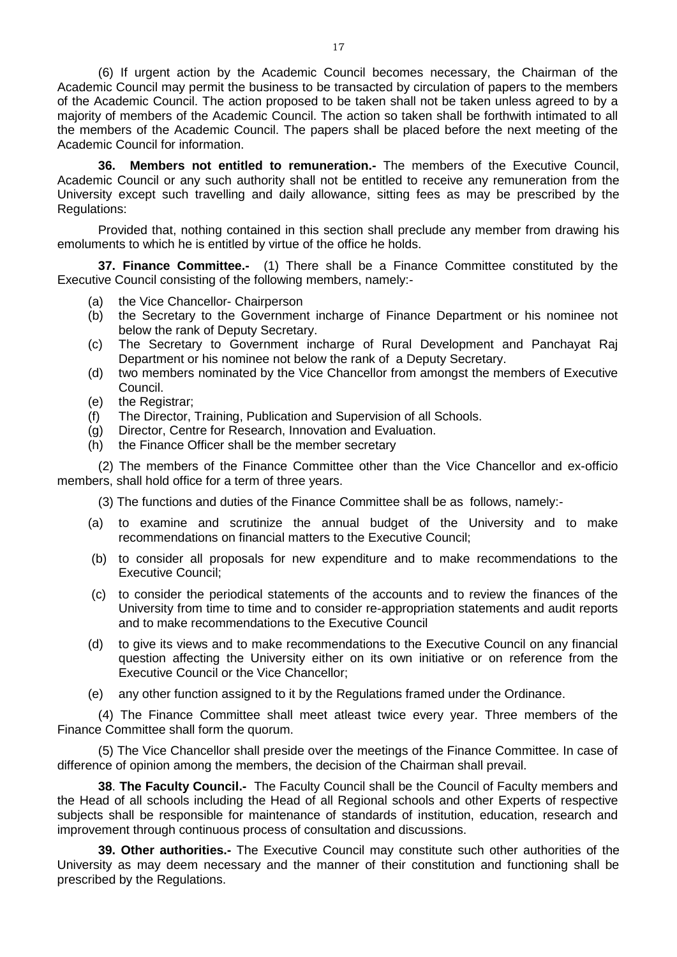(6) If urgent action by the Academic Council becomes necessary, the Chairman of the Academic Council may permit the business to be transacted by circulation of papers to the members of the Academic Council. The action proposed to be taken shall not be taken unless agreed to by a majority of members of the Academic Council. The action so taken shall be forthwith intimated to all the members of the Academic Council. The papers shall be placed before the next meeting of the Academic Council for information.

**36. Members not entitled to remuneration.-** The members of the Executive Council, Academic Council or any such authority shall not be entitled to receive any remuneration from the University except such travelling and daily allowance, sitting fees as may be prescribed by the Regulations:

Provided that, nothing contained in this section shall preclude any member from drawing his emoluments to which he is entitled by virtue of the office he holds.

**37. Finance Committee.-** (1) There shall be a Finance Committee constituted by the Executive Council consisting of the following members, namely:-

- (a) the Vice Chancellor- Chairperson
- (b) the Secretary to the Government incharge of Finance Department or his nominee not below the rank of Deputy Secretary.
- (c) The Secretary to Government incharge of Rural Development and Panchayat Raj Department or his nominee not below the rank of a Deputy Secretary.
- (d) two members nominated by the Vice Chancellor from amongst the members of Executive Council.
- (e) the Registrar;
- (f) The Director, Training, Publication and Supervision of all Schools.
- (g) Director, Centre for Research, Innovation and Evaluation.
- (h) the Finance Officer shall be the member secretary

(2) The members of the Finance Committee other than the Vice Chancellor and ex-officio members, shall hold office for a term of three years.

(3) The functions and duties of the Finance Committee shall be as follows, namely:-

- (a) to examine and scrutinize the annual budget of the University and to make recommendations on financial matters to the Executive Council;
- (b) to consider all proposals for new expenditure and to make recommendations to the Executive Council;
- (c) to consider the periodical statements of the accounts and to review the finances of the University from time to time and to consider re-appropriation statements and audit reports and to make recommendations to the Executive Council
- (d) to give its views and to make recommendations to the Executive Council on any financial question affecting the University either on its own initiative or on reference from the Executive Council or the Vice Chancellor;
- (e) any other function assigned to it by the Regulations framed under the Ordinance.

(4) The Finance Committee shall meet atleast twice every year. Three members of the Finance Committee shall form the quorum.

(5) The Vice Chancellor shall preside over the meetings of the Finance Committee. In case of difference of opinion among the members, the decision of the Chairman shall prevail.

**38**. **The Faculty Council.-** The Faculty Council shall be the Council of Faculty members and the Head of all schools including the Head of all Regional schools and other Experts of respective subjects shall be responsible for maintenance of standards of institution, education, research and improvement through continuous process of consultation and discussions.

**39. Other authorities.-** The Executive Council may constitute such other authorities of the University as may deem necessary and the manner of their constitution and functioning shall be prescribed by the Regulations.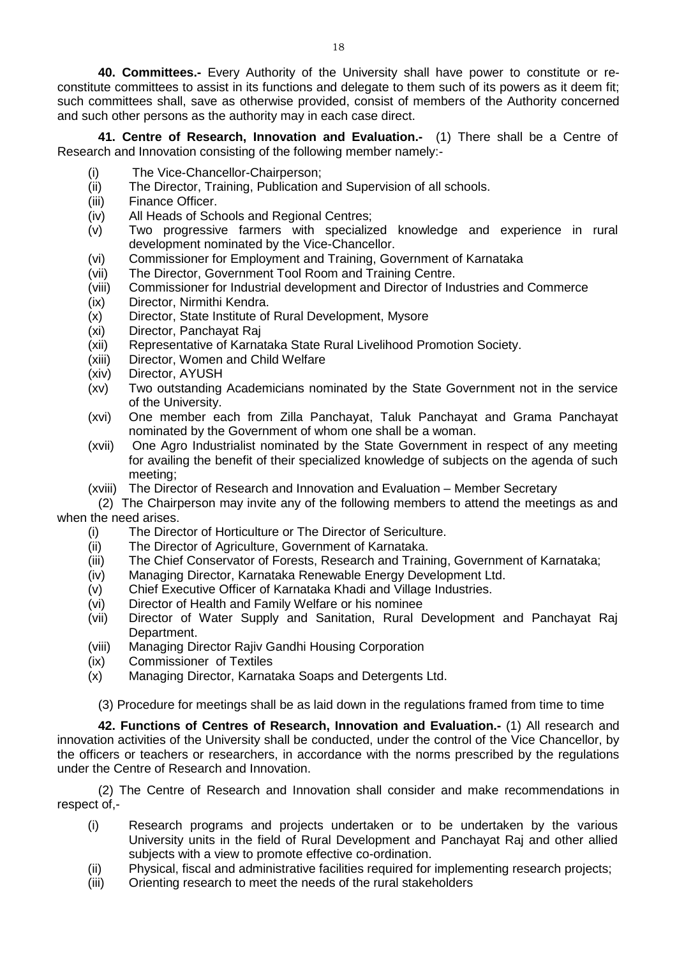**40. Committees.-** Every Authority of the University shall have power to constitute or reconstitute committees to assist in its functions and delegate to them such of its powers as it deem fit; such committees shall, save as otherwise provided, consist of members of the Authority concerned and such other persons as the authority may in each case direct.

**41. Centre of Research, Innovation and Evaluation.-** (1) There shall be a Centre of Research and Innovation consisting of the following member namely:-

- (i) The Vice-Chancellor-Chairperson;
- (ii) The Director, Training, Publication and Supervision of all schools.
- (iii) Finance Officer.
- (iv) All Heads of Schools and Regional Centres;
- (v) Two progressive farmers with specialized knowledge and experience in rural development nominated by the Vice-Chancellor.
- (vi) Commissioner for Employment and Training, Government of Karnataka
- (vii) The Director, Government Tool Room and Training Centre.
- (viii) Commissioner for Industrial development and Director of Industries and Commerce
- (ix) Director, Nirmithi Kendra.<br>(x) Director. State Institute of
- (x) Director, State Institute of Rural Development, Mysore<br>(xi) Director, Panchavat Rai
- Director, Panchayat Raj
- (xii) Representative of Karnataka State Rural Livelihood Promotion Society.
- (xiii) Director, Women and Child Welfare
- (xiv) Director, AYUSH
- (xv) Two outstanding Academicians nominated by the State Government not in the service of the University.
- (xvi) One member each from Zilla Panchayat, Taluk Panchayat and Grama Panchayat nominated by the Government of whom one shall be a woman.
- (xvii) One Agro Industrialist nominated by the State Government in respect of any meeting for availing the benefit of their specialized knowledge of subjects on the agenda of such meeting;
- (xviii) The Director of Research and Innovation and Evaluation Member Secretary

(2) The Chairperson may invite any of the following members to attend the meetings as and when the need arises.

- (i) The Director of Horticulture or The Director of Sericulture.
- (ii) The Director of Agriculture, Government of Karnataka.
- (iii) The Chief Conservator of Forests, Research and Training, Government of Karnataka;
- (iv) Managing Director, Karnataka Renewable Energy Development Ltd.
- (v) Chief Executive Officer of Karnataka Khadi and Village Industries.
- (vi) Director of Health and Family Welfare or his nominee
- (vii) Director of Water Supply and Sanitation, Rural Development and Panchayat Raj Department.
- (viii) Managing Director Rajiv Gandhi Housing Corporation
- (ix) Commissioner of Textiles
- (x) Managing Director, Karnataka Soaps and Detergents Ltd.

(3) Procedure for meetings shall be as laid down in the regulations framed from time to time

**42. Functions of Centres of Research, Innovation and Evaluation.-** (1) All research and innovation activities of the University shall be conducted, under the control of the Vice Chancellor, by the officers or teachers or researchers, in accordance with the norms prescribed by the regulations under the Centre of Research and Innovation.

(2) The Centre of Research and Innovation shall consider and make recommendations in respect of,-

- (i) Research programs and projects undertaken or to be undertaken by the various University units in the field of Rural Development and Panchayat Raj and other allied subjects with a view to promote effective co-ordination.
- (ii) Physical, fiscal and administrative facilities required for implementing research projects;
- (iii) Orienting research to meet the needs of the rural stakeholders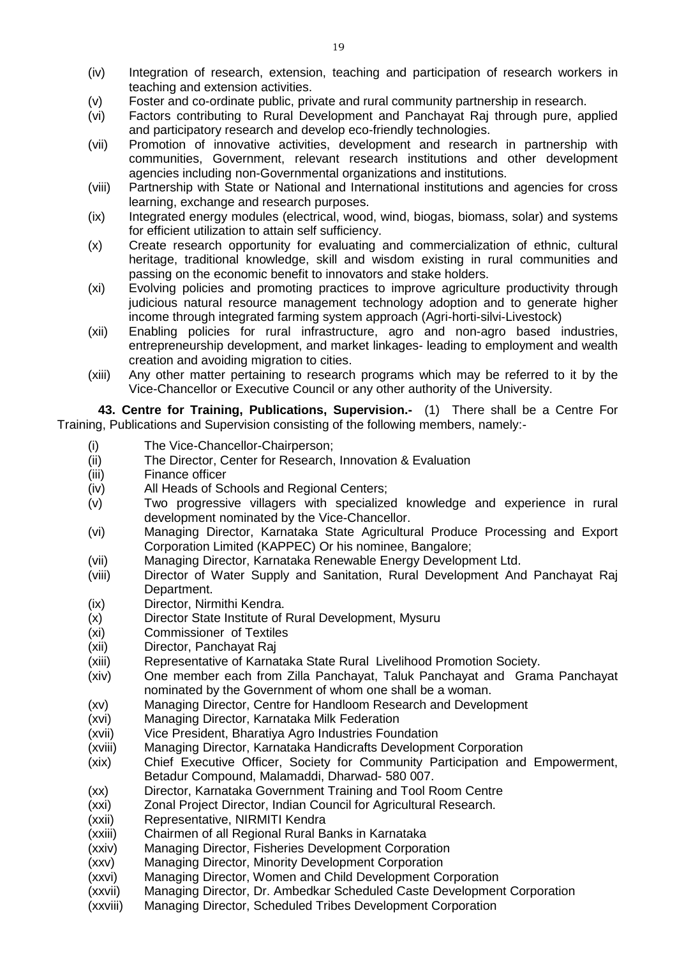- (iv) Integration of research, extension, teaching and participation of research workers in teaching and extension activities.
- (v) Foster and co-ordinate public, private and rural community partnership in research.
- (vi) Factors contributing to Rural Development and Panchayat Raj through pure, applied and participatory research and develop eco-friendly technologies.
- (vii) Promotion of innovative activities, development and research in partnership with communities, Government, relevant research institutions and other development agencies including non-Governmental organizations and institutions.
- (viii) Partnership with State or National and International institutions and agencies for cross learning, exchange and research purposes.
- (ix) Integrated energy modules (electrical, wood, wind, biogas, biomass, solar) and systems for efficient utilization to attain self sufficiency.
- (x) Create research opportunity for evaluating and commercialization of ethnic, cultural heritage, traditional knowledge, skill and wisdom existing in rural communities and passing on the economic benefit to innovators and stake holders.
- (xi) Evolving policies and promoting practices to improve agriculture productivity through judicious natural resource management technology adoption and to generate higher income through integrated farming system approach (Agri-horti-silvi-Livestock)
- (xii) Enabling policies for rural infrastructure, agro and non-agro based industries, entrepreneurship development, and market linkages- leading to employment and wealth creation and avoiding migration to cities.
- (xiii) Any other matter pertaining to research programs which may be referred to it by the Vice-Chancellor or Executive Council or any other authority of the University.

**43. Centre for Training, Publications, Supervision.-** (1)There shall be a Centre For Training, Publications and Supervision consisting of the following members, namely:-

- (i) The Vice-Chancellor-Chairperson;
- (ii) The Director, Center for Research, Innovation & Evaluation
- (iii) Finance officer
- (iv) All Heads of Schools and Regional Centers;
- (v) Two progressive villagers with specialized knowledge and experience in rural development nominated by the Vice-Chancellor.
- (vi) Managing Director, Karnataka State Agricultural Produce Processing and Export Corporation Limited (KAPPEC) Or his nominee, Bangalore;
- (vii) Managing Director, Karnataka Renewable Energy Development Ltd.
- (viii) Director of Water Supply and Sanitation, Rural Development And Panchayat Raj Department.
- (ix) Director, Nirmithi Kendra.
- (x) Director State Institute of Rural Development, Mysuru
- (xi) Commissioner of Textiles
- (xii) Director, Panchayat Raj
- (xiii) Representative of Karnataka State Rural Livelihood Promotion Society.
- (xiv) One member each from Zilla Panchayat, Taluk Panchayat and Grama Panchayat nominated by the Government of whom one shall be a woman.
- (xv) Managing Director, Centre for Handloom Research and Development<br>(xvi) Managing Director, Karnataka Milk Federation
- Managing Director, Karnataka Milk Federation
- (xvii) Vice President, Bharatiya Agro Industries Foundation
- (xviii) Managing Director, Karnataka Handicrafts Development Corporation
- (xix) Chief Executive Officer, Society for Community Participation and Empowerment, Betadur Compound, Malamaddi, Dharwad- 580 007.
- (xx) Director, Karnataka Government Training and Tool Room Centre
- (xxi) Zonal Project Director, Indian Council for Agricultural Research.
- (xxii) Representative, NIRMITI Kendra
- (xxiii) Chairmen of all Regional Rural Banks in Karnataka
- (xxiv) Managing Director, Fisheries Development Corporation
- (xxv) Managing Director, Minority Development Corporation
- (xxvi) Managing Director, Women and Child Development Corporation
- (xxvii) Managing Director, Dr. Ambedkar Scheduled Caste Development Corporation
- (xxviii) Managing Director, Scheduled Tribes Development Corporation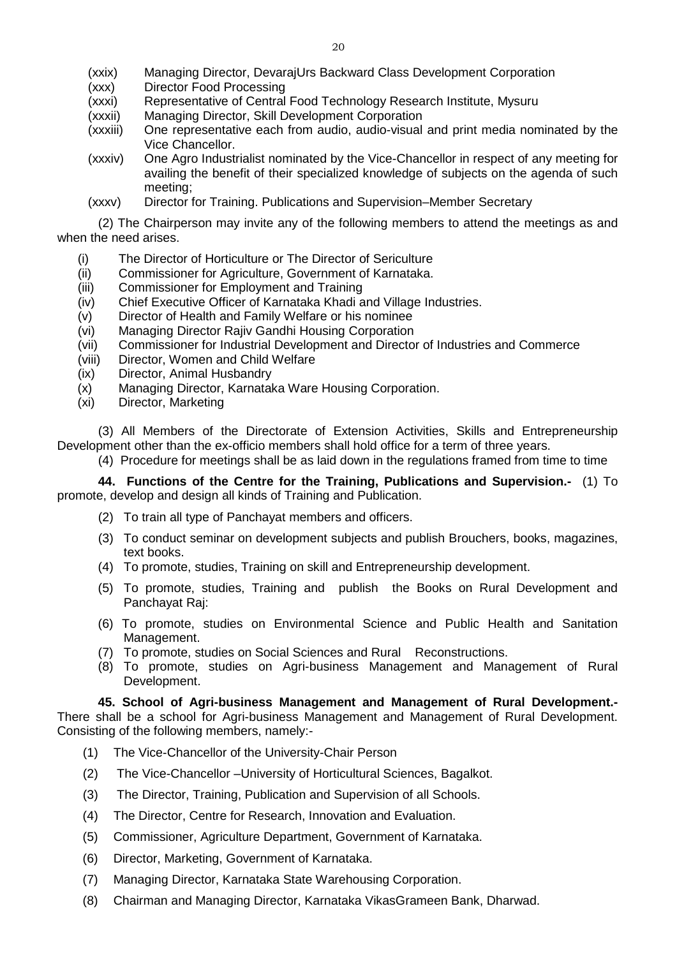- Director Food Processing
- (xxxi) Representative of Central Food Technology Research Institute, Mysuru
- (xxxii) Managing Director, Skill Development Corporation
- (xxxiii) One representative each from audio, audio-visual and print media nominated by the Vice Chancellor.
- (xxxiv) One Agro Industrialist nominated by the Vice-Chancellor in respect of any meeting for availing the benefit of their specialized knowledge of subjects on the agenda of such meeting;
- (xxxv) Director for Training. Publications and Supervision–Member Secretary

(2) The Chairperson may invite any of the following members to attend the meetings as and when the need arises.

- (i) The Director of Horticulture or The Director of Sericulture
- (ii) Commissioner for Agriculture, Government of Karnataka.
- (iii) Commissioner for Employment and Training
- (iv) Chief Executive Officer of Karnataka Khadi and Village Industries.<br>(v) Director of Health and Family Welfare or his nominee
- Director of Health and Family Welfare or his nominee
- (vi) Managing Director Rajiv Gandhi Housing Corporation
- (vii) Commissioner for Industrial Development and Director of Industries and Commerce
- (viii) Director, Women and Child Welfare
- (ix) Director, Animal Husbandry
- (x) Managing Director, Karnataka Ware Housing Corporation.
- (xi) Director, Marketing

(3) All Members of the Directorate of Extension Activities, Skills and Entrepreneurship Development other than the ex-officio members shall hold office for a term of three years.

(4) Procedure for meetings shall be as laid down in the regulations framed from time to time

**44. Functions of the Centre for the Training, Publications and Supervision.-** (1) To promote, develop and design all kinds of Training and Publication.

- (2) To train all type of Panchayat members and officers.
- (3) To conduct seminar on development subjects and publish Brouchers, books, magazines, text books.
- (4) To promote, studies, Training on skill and Entrepreneurship development.
- (5) To promote, studies, Training and publish the Books on Rural Development and Panchayat Raj:
- (6) To promote, studies on Environmental Science and Public Health and Sanitation Management.
- (7) To promote, studies on Social Sciences and Rural Reconstructions.
- (8) To promote, studies on Agri-business Management and Management of Rural Development.

# **45. School of Agri-business Management and Management of Rural Development.-**

There shall be a school for Agri-business Management and Management of Rural Development. Consisting of the following members, namely:-

- (1) The Vice-Chancellor of the University-Chair Person
- (2) The Vice-Chancellor –University of Horticultural Sciences, Bagalkot.
- (3) The Director, Training, Publication and Supervision of all Schools.
- (4) The Director, Centre for Research, Innovation and Evaluation.
- (5) Commissioner, Agriculture Department, Government of Karnataka.
- (6) Director, Marketing, Government of Karnataka.
- (7) Managing Director, Karnataka State Warehousing Corporation.
- (8) Chairman and Managing Director, Karnataka VikasGrameen Bank, Dharwad.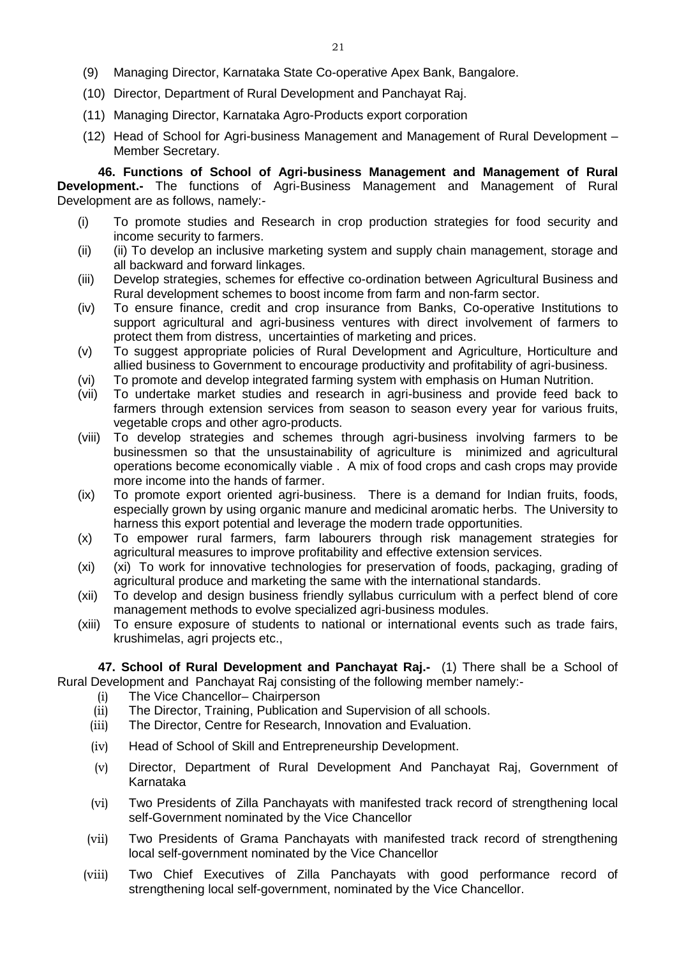- (9) Managing Director, Karnataka State Co-operative Apex Bank, Bangalore.
- (10) Director, Department of Rural Development and Panchayat Raj.
- (11) Managing Director, Karnataka Agro-Products export corporation
- (12) Head of School for Agri-business Management and Management of Rural Development Member Secretary.

**46. Functions of School of Agri-business Management and Management of Rural Development.-** The functions of Agri-Business Management and Management of Rural Development are as follows, namely:-

- (i) To promote studies and Research in crop production strategies for food security and income security to farmers.
- (ii) (ii) To develop an inclusive marketing system and supply chain management, storage and all backward and forward linkages.
- (iii) Develop strategies, schemes for effective co-ordination between Agricultural Business and Rural development schemes to boost income from farm and non-farm sector.
- (iv) To ensure finance, credit and crop insurance from Banks, Co-operative Institutions to support agricultural and agri-business ventures with direct involvement of farmers to protect them from distress, uncertainties of marketing and prices.
- (v) To suggest appropriate policies of Rural Development and Agriculture, Horticulture and allied business to Government to encourage productivity and profitability of agri-business.
- (vi) To promote and develop integrated farming system with emphasis on Human Nutrition.
- (vii) To undertake market studies and research in agri-business and provide feed back to farmers through extension services from season to season every year for various fruits, vegetable crops and other agro-products.
- (viii) To develop strategies and schemes through agri-business involving farmers to be businessmen so that the unsustainability of agriculture is minimized and agricultural operations become economically viable . A mix of food crops and cash crops may provide more income into the hands of farmer.
- (ix) To promote export oriented agri-business. There is a demand for Indian fruits, foods, especially grown by using organic manure and medicinal aromatic herbs. The University to harness this export potential and leverage the modern trade opportunities.
- (x) To empower rural farmers, farm labourers through risk management strategies for agricultural measures to improve profitability and effective extension services.
- (xi) (xi) To work for innovative technologies for preservation of foods, packaging, grading of agricultural produce and marketing the same with the international standards.
- (xii) To develop and design business friendly syllabus curriculum with a perfect blend of core management methods to evolve specialized agri-business modules.
- (xiii) To ensure exposure of students to national or international events such as trade fairs, krushimelas, agri projects etc.,

**47. School of Rural Development and Panchayat Raj.-** (1) There shall be a School of Rural Development and Panchayat Raj consisting of the following member namely:-

- (i) The Vice Chancellor– Chairperson
- (ii) The Director, Training, Publication and Supervision of all schools.
- (iii) The Director, Centre for Research, Innovation and Evaluation.
- (iv) Head of School of Skill and Entrepreneurship Development.
- (v) Director, Department of Rural Development And Panchayat Raj, Government of Karnataka
- (vi) Two Presidents of Zilla Panchayats with manifested track record of strengthening local self-Government nominated by the Vice Chancellor
- (vii) Two Presidents of Grama Panchayats with manifested track record of strengthening local self-government nominated by the Vice Chancellor
- (viii) Two Chief Executives of Zilla Panchayats with good performance record of strengthening local self-government, nominated by the Vice Chancellor.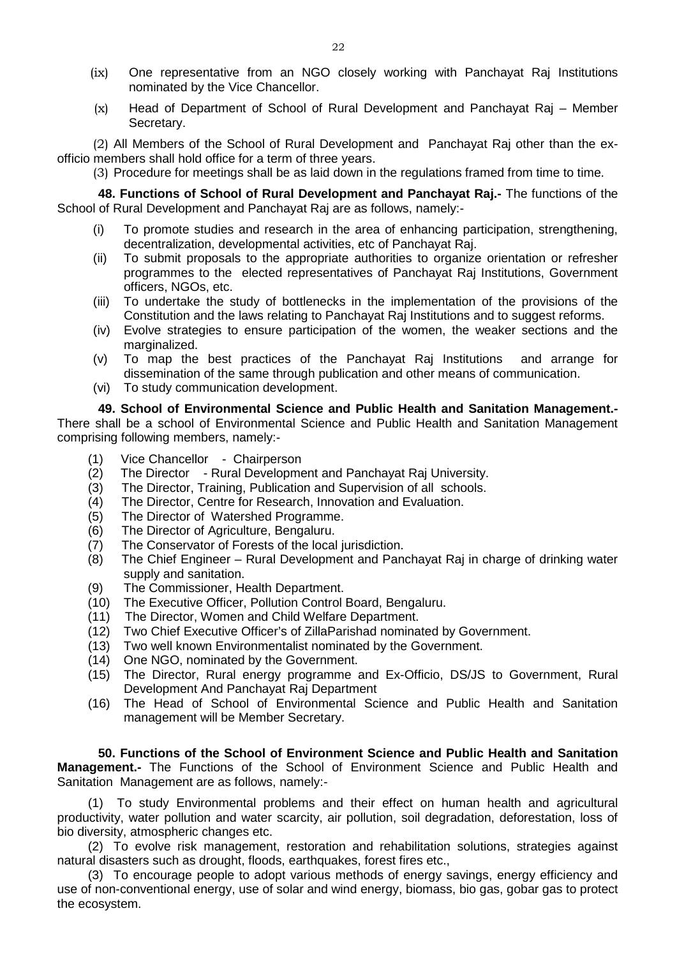- (ix) One representative from an NGO closely working with Panchayat Raj Institutions nominated by the Vice Chancellor.
- (x) Head of Department of School of Rural Development and Panchayat Raj Member Secretary.

(2) All Members of the School of Rural Development and Panchayat Raj other than the exofficio members shall hold office for a term of three years.

(3) Procedure for meetings shall be as laid down in the regulations framed from time to time.

**48. Functions of School of Rural Development and Panchayat Raj.-** The functions of the School of Rural Development and Panchayat Raj are as follows, namely:-

- (i) To promote studies and research in the area of enhancing participation, strengthening, decentralization, developmental activities, etc of Panchayat Raj.
- (ii) To submit proposals to the appropriate authorities to organize orientation or refresher programmes to the elected representatives of Panchayat Raj Institutions, Government officers, NGOs, etc.
- (iii) To undertake the study of bottlenecks in the implementation of the provisions of the Constitution and the laws relating to Panchayat Raj Institutions and to suggest reforms.
- (iv) Evolve strategies to ensure participation of the women, the weaker sections and the marginalized.
- (v) To map the best practices of the Panchayat Raj Institutions and arrange for dissemination of the same through publication and other means of communication.
- (vi) To study communication development.

## **49. School of Environmental Science and Public Health and Sanitation Management.-**

There shall be a school of Environmental Science and Public Health and Sanitation Management comprising following members, namely:-

- (1) Vice Chancellor Chairperson<br>(2) The Director Rural Developme
- The Director Rural Development and Panchayat Raj University.
- (3) The Director, Training, Publication and Supervision of all schools.
- (4) The Director, Centre for Research, Innovation and Evaluation.
- (5) The Director of Watershed Programme.
- (6) The Director of Agriculture, Bengaluru.
- (7) The Conservator of Forests of the local jurisdiction.
- (8) The Chief Engineer Rural Development and Panchayat Raj in charge of drinking water supply and sanitation.
- (9) The Commissioner, Health Department.
- (10) The Executive Officer, Pollution Control Board, Bengaluru.
- (11) The Director, Women and Child Welfare Department.
- (12) Two Chief Executive Officer's of ZillaParishad nominated by Government.
- (13) Two well known Environmentalist nominated by the Government.
- (14) One NGO, nominated by the Government.
- (15) The Director, Rural energy programme and Ex-Officio, DS/JS to Government, Rural Development And Panchayat Raj Department
- (16) The Head of School of Environmental Science and Public Health and Sanitation management will be Member Secretary.

**50. Functions of the School of Environment Science and Public Health and Sanitation Management.-** The Functions of the School of Environment Science and Public Health and Sanitation Management are as follows, namely:-

(1) To study Environmental problems and their effect on human health and agricultural productivity, water pollution and water scarcity, air pollution, soil degradation, deforestation, loss of bio diversity, atmospheric changes etc.

(2) To evolve risk management, restoration and rehabilitation solutions, strategies against natural disasters such as drought, floods, earthquakes, forest fires etc.,

(3) To encourage people to adopt various methods of energy savings, energy efficiency and use of non-conventional energy, use of solar and wind energy, biomass, bio gas, gobar gas to protect the ecosystem.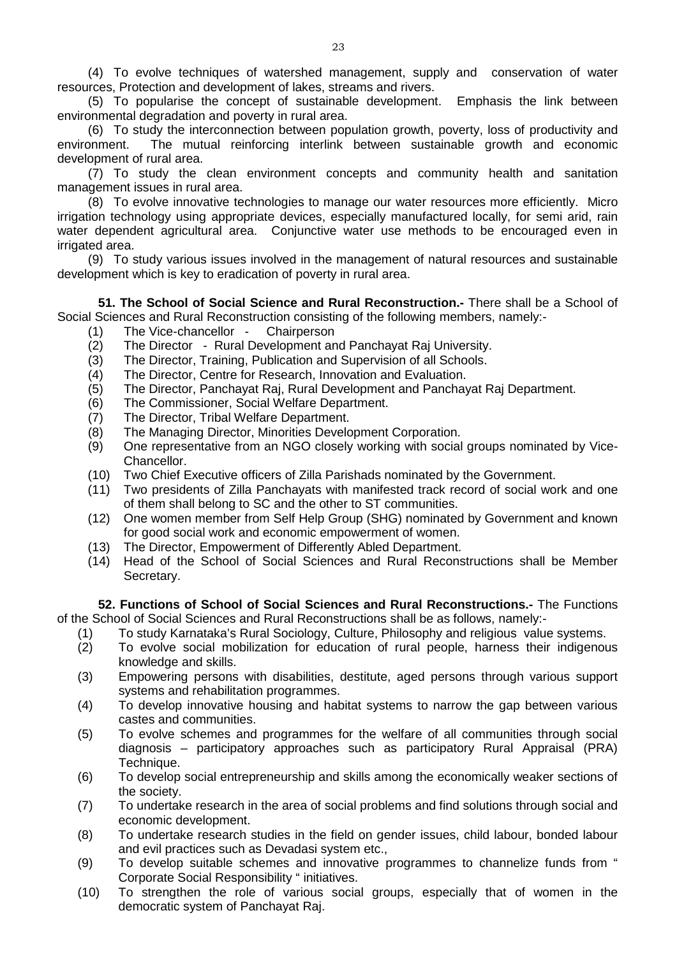(4) To evolve techniques of watershed management, supply and conservation of water resources, Protection and development of lakes, streams and rivers.

(5) To popularise the concept of sustainable development. Emphasis the link between environmental degradation and poverty in rural area.

(6) To study the interconnection between population growth, poverty, loss of productivity and environment. The mutual reinforcing interlink between sustainable growth and economic development of rural area.

(7) To study the clean environment concepts and community health and sanitation management issues in rural area.

(8) To evolve innovative technologies to manage our water resources more efficiently. Micro irrigation technology using appropriate devices, especially manufactured locally, for semi arid, rain water dependent agricultural area. Conjunctive water use methods to be encouraged even in irrigated area.

(9) To study various issues involved in the management of natural resources and sustainable development which is key to eradication of poverty in rural area.

**51. The School of Social Science and Rural Reconstruction.-** There shall be a School of Social Sciences and Rural Reconstruction consisting of the following members, namely:-

- (1) The Vice-chancellor Chairperson
- (2) The Director Rural Development and Panchayat Raj University.
- (3) The Director, Training, Publication and Supervision of all Schools.
- (4) The Director, Centre for Research, Innovation and Evaluation.
- (5) The Director, Panchayat Raj, Rural Development and Panchayat Raj Department.
- The Commissioner, Social Welfare Department.
- (7) The Director, Tribal Welfare Department.
- (8) The Managing Director, Minorities Development Corporation.
- (9) One representative from an NGO closely working with social groups nominated by Vice-Chancellor.
- (10) Two Chief Executive officers of Zilla Parishads nominated by the Government.
- (11) Two presidents of Zilla Panchayats with manifested track record of social work and one of them shall belong to SC and the other to ST communities.
- (12) One women member from Self Help Group (SHG) nominated by Government and known for good social work and economic empowerment of women.
- (13) The Director, Empowerment of Differently Abled Department.
- (14) Head of the School of Social Sciences and Rural Reconstructions shall be Member Secretary.

**52. Functions of School of Social Sciences and Rural Reconstructions.-** The Functions of the School of Social Sciences and Rural Reconstructions shall be as follows, namely:-

- (1) To study Karnataka's Rural Sociology, Culture, Philosophy and religious value systems.
- (2) To evolve social mobilization for education of rural people, harness their indigenous knowledge and skills.
- (3) Empowering persons with disabilities, destitute, aged persons through various support systems and rehabilitation programmes.
- (4) To develop innovative housing and habitat systems to narrow the gap between various castes and communities.
- (5) To evolve schemes and programmes for the welfare of all communities through social diagnosis – participatory approaches such as participatory Rural Appraisal (PRA) Technique.
- (6) To develop social entrepreneurship and skills among the economically weaker sections of the society.
- (7) To undertake research in the area of social problems and find solutions through social and economic development.
- (8) To undertake research studies in the field on gender issues, child labour, bonded labour and evil practices such as Devadasi system etc.,
- (9) To develop suitable schemes and innovative programmes to channelize funds from " Corporate Social Responsibility " initiatives.
- (10) To strengthen the role of various social groups, especially that of women in the democratic system of Panchayat Raj.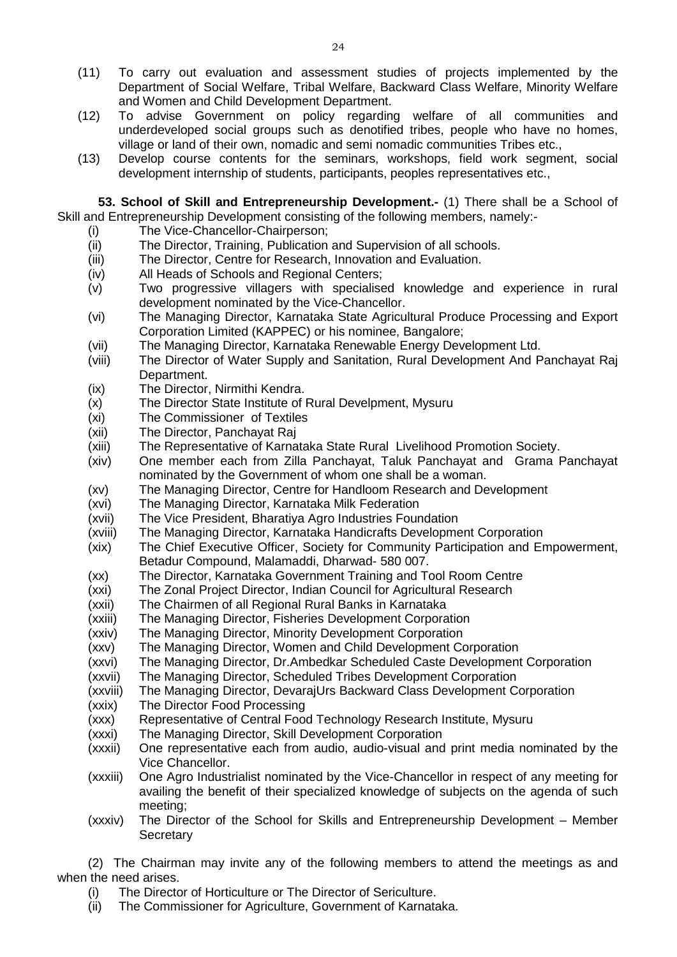- (11) To carry out evaluation and assessment studies of projects implemented by the Department of Social Welfare, Tribal Welfare, Backward Class Welfare, Minority Welfare and Women and Child Development Department.
- (12) To advise Government on policy regarding welfare of all communities and underdeveloped social groups such as denotified tribes, people who have no homes, village or land of their own, nomadic and semi nomadic communities Tribes etc.,
- (13) Develop course contents for the seminars, workshops, field work segment, social development internship of students, participants, peoples representatives etc.,

**53. School of Skill and Entrepreneurship Development.-** (1) There shall be a School of Skill and Entrepreneurship Development consisting of the following members, namely:-

- (i) The Vice-Chancellor-Chairperson;
- (ii) The Director, Training, Publication and Supervision of all schools.
- (iii) The Director, Centre for Research, Innovation and Evaluation.
- (iv) All Heads of Schools and Regional Centers;
- (v) Two progressive villagers with specialised knowledge and experience in rural development nominated by the Vice-Chancellor.
- (vi) The Managing Director, Karnataka State Agricultural Produce Processing and Export Corporation Limited (KAPPEC) or his nominee, Bangalore;
- (vii) The Managing Director, Karnataka Renewable Energy Development Ltd.
- (viii) The Director of Water Supply and Sanitation, Rural Development And Panchayat Raj Department.
- 
- (ix) The Director, Nirmithi Kendra.<br>(x) The Director State Institute of The Director State Institute of Rural Develpment, Mysuru
- (xi) The Commissioner of Textiles
- (xii) The Director, Panchayat Raj
- (xiii) The Representative of Karnataka State Rural Livelihood Promotion Society.
- (xiv) One member each from Zilla Panchayat, Taluk Panchayat and Grama Panchayat nominated by the Government of whom one shall be a woman.
- (xv) The Managing Director, Centre for Handloom Research and Development
- (xvi) The Managing Director, Karnataka Milk Federation
- (xvii) The Vice President, Bharatiya Agro Industries Foundation
- (xviii) The Managing Director, Karnataka Handicrafts Development Corporation
- (xix) The Chief Executive Officer, Society for Community Participation and Empowerment, Betadur Compound, Malamaddi, Dharwad- 580 007.
- (xx) The Director, Karnataka Government Training and Tool Room Centre
- (xxi) The Zonal Project Director, Indian Council for Agricultural Research
- (xxii) The Chairmen of all Regional Rural Banks in Karnataka
- (xxiii) The Managing Director, Fisheries Development Corporation
- (xxiv) The Managing Director, Minority Development Corporation
- (xxv) The Managing Director, Women and Child Development Corporation
- (xxvi) The Managing Director, Dr.Ambedkar Scheduled Caste Development Corporation
- (xxvii) The Managing Director, Scheduled Tribes Development Corporation
- (xxviii) The Managing Director, DevarajUrs Backward Class Development Corporation
- (xxix) The Director Food Processing
- (xxx) Representative of Central Food Technology Research Institute, Mysuru
- (xxxi) The Managing Director, Skill Development Corporation
- (xxxii) One representative each from audio, audio-visual and print media nominated by the Vice Chancellor.
- (xxxiii) One Agro Industrialist nominated by the Vice-Chancellor in respect of any meeting for availing the benefit of their specialized knowledge of subjects on the agenda of such meeting;
- (xxxiv) The Director of the School for Skills and Entrepreneurship Development Member **Secretary**

(2) The Chairman may invite any of the following members to attend the meetings as and when the need arises.

- (i) The Director of Horticulture or The Director of Sericulture.
- (ii) The Commissioner for Agriculture, Government of Karnataka.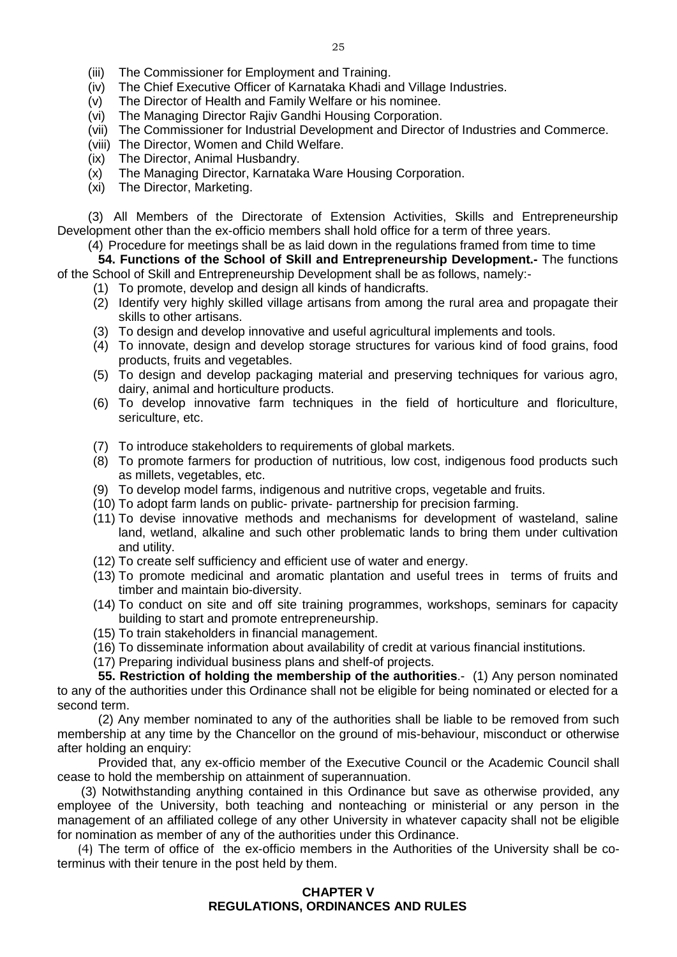- (iii) The Commissioner for Employment and Training.
- (iv) The Chief Executive Officer of Karnataka Khadi and Village Industries.
- (v) The Director of Health and Family Welfare or his nominee.<br>(vi) The Managing Director Rajiv Gandhi Housing Corporation.
- The Managing Director Rajiv Gandhi Housing Corporation.
- (vii) The Commissioner for Industrial Development and Director of Industries and Commerce.
- (viii) The Director, Women and Child Welfare.
- (ix) The Director, Animal Husbandry.
- (x) The Managing Director, Karnataka Ware Housing Corporation.
- (xi) The Director, Marketing.

(3) All Members of the Directorate of Extension Activities, Skills and Entrepreneurship Development other than the ex-officio members shall hold office for a term of three years.

(4) Procedure for meetings shall be as laid down in the regulations framed from time to time

**54. Functions of the School of Skill and Entrepreneurship Development.-** The functions of the School of Skill and Entrepreneurship Development shall be as follows, namely:-

- (1) To promote, develop and design all kinds of handicrafts.
- (2) Identify very highly skilled village artisans from among the rural area and propagate their skills to other artisans.
- (3) To design and develop innovative and useful agricultural implements and tools.
- (4) To innovate, design and develop storage structures for various kind of food grains, food products, fruits and vegetables.
- (5) To design and develop packaging material and preserving techniques for various agro, dairy, animal and horticulture products.
- (6) To develop innovative farm techniques in the field of horticulture and floriculture, sericulture, etc.
- (7) To introduce stakeholders to requirements of global markets.
- (8) To promote farmers for production of nutritious, low cost, indigenous food products such as millets, vegetables, etc.
- (9) To develop model farms, indigenous and nutritive crops, vegetable and fruits.
- (10) To adopt farm lands on public- private- partnership for precision farming.
- (11) To devise innovative methods and mechanisms for development of wasteland, saline land, wetland, alkaline and such other problematic lands to bring them under cultivation and utility.
- (12) To create self sufficiency and efficient use of water and energy.
- (13) To promote medicinal and aromatic plantation and useful trees in terms of fruits and timber and maintain bio-diversity.
- (14) To conduct on site and off site training programmes, workshops, seminars for capacity building to start and promote entrepreneurship.
- (15) To train stakeholders in financial management.
- (16) To disseminate information about availability of credit at various financial institutions.
- (17) Preparing individual business plans and shelf-of projects.

**55. Restriction of holding the membership of the authorities**.- (1) Any person nominated to any of the authorities under this Ordinance shall not be eligible for being nominated or elected for a second term.

(2) Any member nominated to any of the authorities shall be liable to be removed from such membership at any time by the Chancellor on the ground of mis-behaviour, misconduct or otherwise after holding an enquiry:

Provided that, any ex-officio member of the Executive Council or the Academic Council shall cease to hold the membership on attainment of superannuation.

(3) Notwithstanding anything contained in this Ordinance but save as otherwise provided, any employee of the University, both teaching and nonteaching or ministerial or any person in the management of an affiliated college of any other University in whatever capacity shall not be eligible for nomination as member of any of the authorities under this Ordinance.

(4) The term of office of the ex-officio members in the Authorities of the University shall be coterminus with their tenure in the post held by them.

#### **CHAPTER V REGULATIONS, ORDINANCES AND RULES**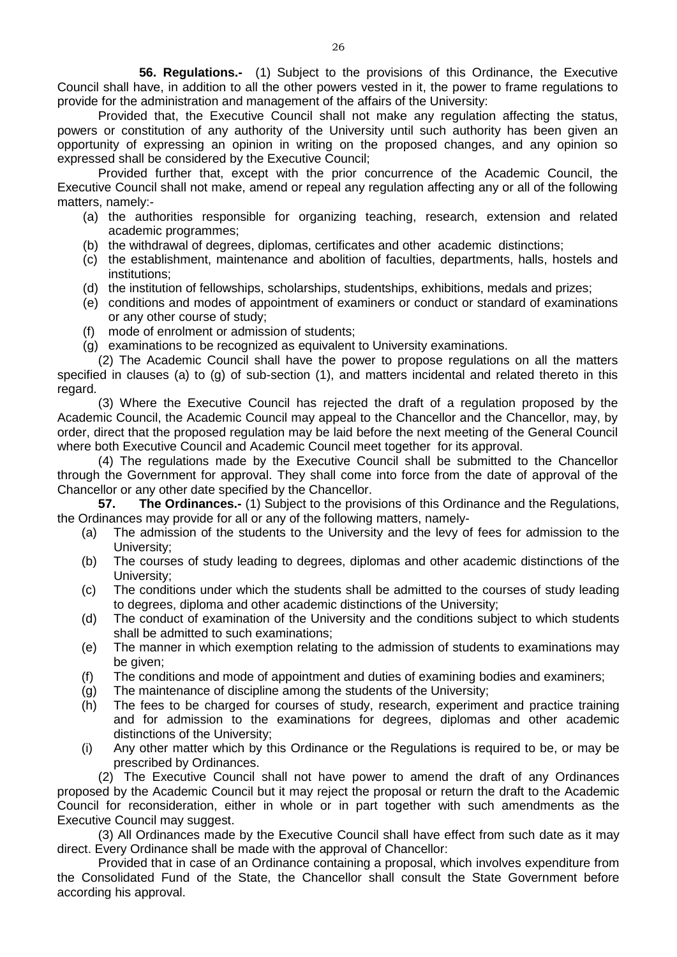**56. Regulations.-** (1) Subject to the provisions of this Ordinance, the Executive Council shall have, in addition to all the other powers vested in it, the power to frame regulations to provide for the administration and management of the affairs of the University:

Provided that, the Executive Council shall not make any regulation affecting the status, powers or constitution of any authority of the University until such authority has been given an opportunity of expressing an opinion in writing on the proposed changes, and any opinion so expressed shall be considered by the Executive Council;

Provided further that, except with the prior concurrence of the Academic Council, the Executive Council shall not make, amend or repeal any regulation affecting any or all of the following matters, namely:-

- (a) the authorities responsible for organizing teaching, research, extension and related academic programmes;
- (b) the withdrawal of degrees, diplomas, certificates and other academic distinctions;
- (c) the establishment, maintenance and abolition of faculties, departments, halls, hostels and institutions;
- (d) the institution of fellowships, scholarships, studentships, exhibitions, medals and prizes;
- (e) conditions and modes of appointment of examiners or conduct or standard of examinations or any other course of study;
- (f) mode of enrolment or admission of students;
- (g) examinations to be recognized as equivalent to University examinations.

(2) The Academic Council shall have the power to propose regulations on all the matters specified in clauses (a) to (g) of sub-section (1), and matters incidental and related thereto in this regard.

(3) Where the Executive Council has rejected the draft of a regulation proposed by the Academic Council, the Academic Council may appeal to the Chancellor and the Chancellor, may, by order, direct that the proposed regulation may be laid before the next meeting of the General Council where both Executive Council and Academic Council meet together for its approval.

(4) The regulations made by the Executive Council shall be submitted to the Chancellor through the Government for approval. They shall come into force from the date of approval of the Chancellor or any other date specified by the Chancellor.<br>57. The Ordinances.- (1) Subject to the provis

**57. The Ordinances.-** (1) Subject to the provisions of this Ordinance and the Regulations, the Ordinances may provide for all or any of the following matters, namely-

- (a) The admission of the students to the University and the levy of fees for admission to the University;
- (b) The courses of study leading to degrees, diplomas and other academic distinctions of the University;
- (c) The conditions under which the students shall be admitted to the courses of study leading to degrees, diploma and other academic distinctions of the University;
- (d) The conduct of examination of the University and the conditions subject to which students shall be admitted to such examinations;
- (e) The manner in which exemption relating to the admission of students to examinations may be given;
- (f) The conditions and mode of appointment and duties of examining bodies and examiners;
- (g) The maintenance of discipline among the students of the University;
- (h) The fees to be charged for courses of study, research, experiment and practice training and for admission to the examinations for degrees, diplomas and other academic distinctions of the University;
- (i) Any other matter which by this Ordinance or the Regulations is required to be, or may be prescribed by Ordinances.

(2) The Executive Council shall not have power to amend the draft of any Ordinances proposed by the Academic Council but it may reject the proposal or return the draft to the Academic Council for reconsideration, either in whole or in part together with such amendments as the Executive Council may suggest.

(3) All Ordinances made by the Executive Council shall have effect from such date as it may direct. Every Ordinance shall be made with the approval of Chancellor:

Provided that in case of an Ordinance containing a proposal, which involves expenditure from the Consolidated Fund of the State, the Chancellor shall consult the State Government before according his approval.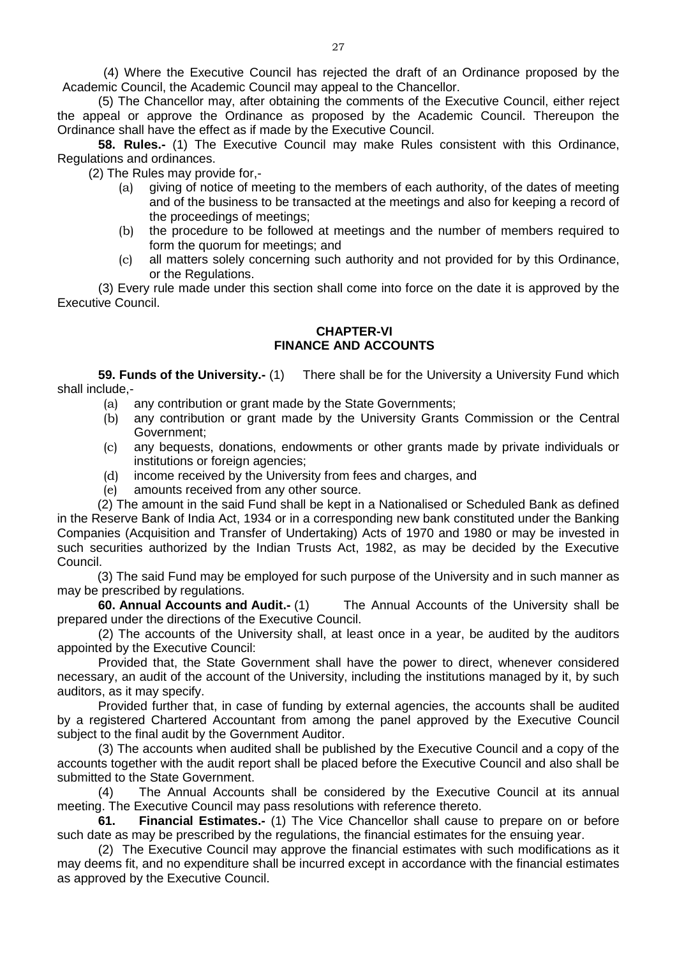(4) Where the Executive Council has rejected the draft of an Ordinance proposed by the Academic Council, the Academic Council may appeal to the Chancellor.

(5) The Chancellor may, after obtaining the comments of the Executive Council, either reject the appeal or approve the Ordinance as proposed by the Academic Council. Thereupon the Ordinance shall have the effect as if made by the Executive Council.

**58. Rules.-** (1) The Executive Council may make Rules consistent with this Ordinance, Regulations and ordinances.

(2) The Rules may provide for,-

- (a) giving of notice of meeting to the members of each authority, of the dates of meeting and of the business to be transacted at the meetings and also for keeping a record of the proceedings of meetings;
- (b) the procedure to be followed at meetings and the number of members required to form the quorum for meetings; and
- (c) all matters solely concerning such authority and not provided for by this Ordinance, or the Regulations.

(3) Every rule made under this section shall come into force on the date it is approved by the Executive Council.

## **CHAPTER-VI FINANCE AND ACCOUNTS**

**59. Funds of the University.-** (1) There shall be for the University a University Fund which shall include,-

- (a) any contribution or grant made by the State Governments;
- (b) any contribution or grant made by the University Grants Commission or the Central Government;
- (c) any bequests, donations, endowments or other grants made by private individuals or institutions or foreign agencies;
- (d) income received by the University from fees and charges, and
- (e) amounts received from any other source.

(2) The amount in the said Fund shall be kept in a Nationalised or Scheduled Bank as defined in the Reserve Bank of India Act, 1934 or in a corresponding new bank constituted under the Banking Companies (Acquisition and Transfer of Undertaking) Acts of 1970 and 1980 or may be invested in such securities authorized by the Indian Trusts Act, 1982, as may be decided by the Executive Council.

(3) The said Fund may be employed for such purpose of the University and in such manner as may be prescribed by regulations.<br>60. Annual Accounts and Audit.- (1)

The Annual Accounts of the University shall be prepared under the directions of the Executive Council.

(2) The accounts of the University shall, at least once in a year, be audited by the auditors appointed by the Executive Council:

Provided that, the State Government shall have the power to direct, whenever considered necessary, an audit of the account of the University, including the institutions managed by it, by such auditors, as it may specify.

Provided further that, in case of funding by external agencies, the accounts shall be audited by a registered Chartered Accountant from among the panel approved by the Executive Council subject to the final audit by the Government Auditor.

(3) The accounts when audited shall be published by the Executive Council and a copy of the accounts together with the audit report shall be placed before the Executive Council and also shall be submitted to the State Government.

(4) The Annual Accounts shall be considered by the Executive Council at its annual meeting. The Executive Council may pass resolutions with reference thereto.

**61. Financial Estimates.-** (1) The Vice Chancellor shall cause to prepare on or before such date as may be prescribed by the regulations, the financial estimates for the ensuing year.

(2) The Executive Council may approve the financial estimates with such modifications as it may deems fit, and no expenditure shall be incurred except in accordance with the financial estimates as approved by the Executive Council.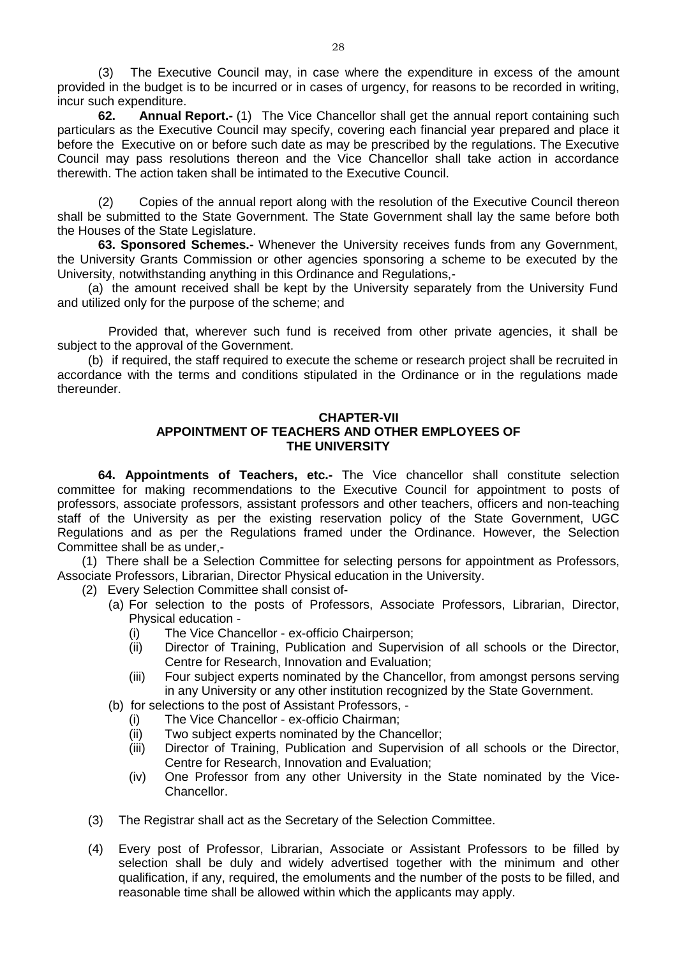(3) The Executive Council may, in case where the expenditure in excess of the amount provided in the budget is to be incurred or in cases of urgency, for reasons to be recorded in writing, incur such expenditure.

**62. Annual Report.-** (1) The Vice Chancellor shall get the annual report containing such particulars as the Executive Council may specify, covering each financial year prepared and place it before the Executive on or before such date as may be prescribed by the regulations. The Executive Council may pass resolutions thereon and the Vice Chancellor shall take action in accordance therewith. The action taken shall be intimated to the Executive Council.

(2) Copies of the annual report along with the resolution of the Executive Council thereon shall be submitted to the State Government. The State Government shall lay the same before both the Houses of the State Legislature.

**63. Sponsored Schemes.-** Whenever the University receives funds from any Government, the University Grants Commission or other agencies sponsoring a scheme to be executed by the University, notwithstanding anything in this Ordinance and Regulations,-

(a) the amount received shall be kept by the University separately from the University Fund and utilized only for the purpose of the scheme; and

Provided that, wherever such fund is received from other private agencies, it shall be subject to the approval of the Government.

(b) if required, the staff required to execute the scheme or research project shall be recruited in accordance with the terms and conditions stipulated in the Ordinance or in the regulations made thereunder.

#### **CHAPTER-VII APPOINTMENT OF TEACHERS AND OTHER EMPLOYEES OF THE UNIVERSITY**

**64. Appointments of Teachers, etc.-** The Vice chancellor shall constitute selection committee for making recommendations to the Executive Council for appointment to posts of professors, associate professors, assistant professors and other teachers, officers and non-teaching staff of the University as per the existing reservation policy of the State Government, UGC Regulations and as per the Regulations framed under the Ordinance. However, the Selection Committee shall be as under,-

(1) There shall be a Selection Committee for selecting persons for appointment as Professors, Associate Professors, Librarian, Director Physical education in the University.

(2) Every Selection Committee shall consist of-

- (a) For selection to the posts of Professors, Associate Professors, Librarian, Director, Physical education -
	- (i) The Vice Chancellor ex-officio Chairperson;
	- (ii) Director of Training, Publication and Supervision of all schools or the Director, Centre for Research, Innovation and Evaluation;
	- (iii) Four subject experts nominated by the Chancellor, from amongst persons serving in any University or any other institution recognized by the State Government.
- (b) for selections to the post of Assistant Professors,
	- (i) The Vice Chancellor ex-officio Chairman;
	- (ii) Two subject experts nominated by the Chancellor;
	- (iii) Director of Training, Publication and Supervision of all schools or the Director, Centre for Research, Innovation and Evaluation;
	- (iv) One Professor from any other University in the State nominated by the Vice-Chancellor.
- (3) The Registrar shall act as the Secretary of the Selection Committee.
- (4) Every post of Professor, Librarian, Associate or Assistant Professors to be filled by selection shall be duly and widely advertised together with the minimum and other qualification, if any, required, the emoluments and the number of the posts to be filled, and reasonable time shall be allowed within which the applicants may apply.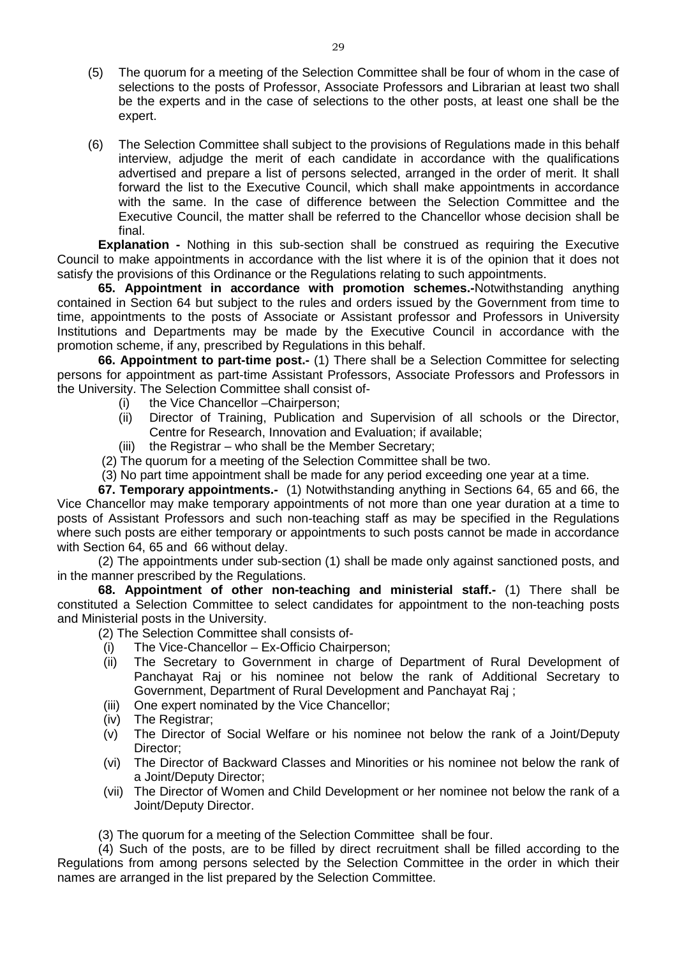- (5) The quorum for a meeting of the Selection Committee shall be four of whom in the case of selections to the posts of Professor, Associate Professors and Librarian at least two shall be the experts and in the case of selections to the other posts, at least one shall be the expert.
- (6) The Selection Committee shall subject to the provisions of Regulations made in this behalf interview, adjudge the merit of each candidate in accordance with the qualifications advertised and prepare a list of persons selected, arranged in the order of merit. It shall forward the list to the Executive Council, which shall make appointments in accordance with the same. In the case of difference between the Selection Committee and the Executive Council, the matter shall be referred to the Chancellor whose decision shall be final.

**Explanation -** Nothing in this sub-section shall be construed as requiring the Executive Council to make appointments in accordance with the list where it is of the opinion that it does not satisfy the provisions of this Ordinance or the Regulations relating to such appointments.

**65. Appointment in accordance with promotion schemes.-**Notwithstanding anything contained in Section 64 but subject to the rules and orders issued by the Government from time to time, appointments to the posts of Associate or Assistant professor and Professors in University Institutions and Departments may be made by the Executive Council in accordance with the promotion scheme, if any, prescribed by Regulations in this behalf.

**66. Appointment to part-time post.-** (1) There shall be a Selection Committee for selecting persons for appointment as part-time Assistant Professors, Associate Professors and Professors in the University. The Selection Committee shall consist of-

- (i) the Vice Chancellor –Chairperson;
- (ii) Director of Training, Publication and Supervision of all schools or the Director, Centre for Research, Innovation and Evaluation; if available;
- (iii) the Registrar who shall be the Member Secretary;
- (2) The quorum for a meeting of the Selection Committee shall be two.
- (3) No part time appointment shall be made for any period exceeding one year at a time.

**67. Temporary appointments.-** (1) Notwithstanding anything in Sections 64, 65 and 66, the Vice Chancellor may make temporary appointments of not more than one year duration at a time to posts of Assistant Professors and such non-teaching staff as may be specified in the Regulations where such posts are either temporary or appointments to such posts cannot be made in accordance with Section 64, 65 and 66 without delay.

(2) The appointments under sub-section (1) shall be made only against sanctioned posts, and in the manner prescribed by the Regulations.

**68. Appointment of other non-teaching and ministerial staff.-** (1) There shall be constituted a Selection Committee to select candidates for appointment to the non-teaching posts and Ministerial posts in the University.

- (2) The Selection Committee shall consists of-
- (i) The Vice-Chancellor Ex-Officio Chairperson;
- (ii) The Secretary to Government in charge of Department of Rural Development of Panchayat Raj or his nominee not below the rank of Additional Secretary to Government, Department of Rural Development and Panchayat Raj ;
- (iii) One expert nominated by the Vice Chancellor;
- (iv) The Registrar;
- (v) The Director of Social Welfare or his nominee not below the rank of a Joint/Deputy Director;
- (vi) The Director of Backward Classes and Minorities or his nominee not below the rank of a Joint/Deputy Director;
- (vii) The Director of Women and Child Development or her nominee not below the rank of a Joint/Deputy Director.
- (3) The quorum for a meeting of the Selection Committee shall be four.

(4) Such of the posts, are to be filled by direct recruitment shall be filled according to the Regulations from among persons selected by the Selection Committee in the order in which their names are arranged in the list prepared by the Selection Committee.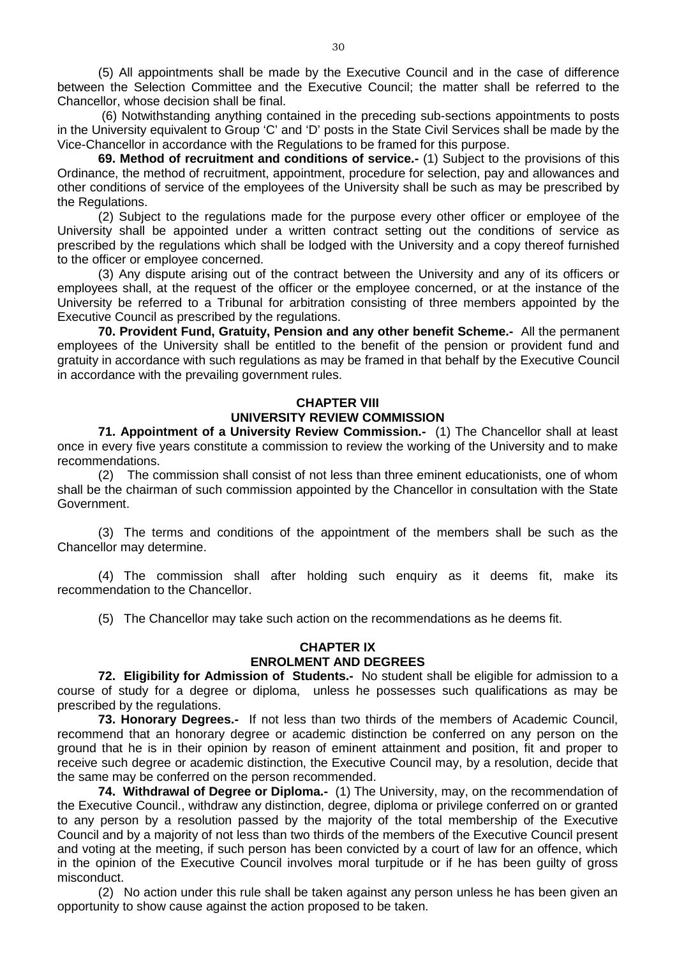(5) All appointments shall be made by the Executive Council and in the case of difference between the Selection Committee and the Executive Council; the matter shall be referred to the Chancellor, whose decision shall be final.

(6) Notwithstanding anything contained in the preceding sub-sections appointments to posts in the University equivalent to Group 'C' and 'D' posts in the State Civil Services shall be made by the Vice-Chancellor in accordance with the Regulations to be framed for this purpose.

**69. Method of recruitment and conditions of service.-** (1) Subject to the provisions of this Ordinance, the method of recruitment, appointment, procedure for selection, pay and allowances and other conditions of service of the employees of the University shall be such as may be prescribed by the Regulations.

(2) Subject to the regulations made for the purpose every other officer or employee of the University shall be appointed under a written contract setting out the conditions of service as prescribed by the regulations which shall be lodged with the University and a copy thereof furnished to the officer or employee concerned.

(3) Any dispute arising out of the contract between the University and any of its officers or employees shall, at the request of the officer or the employee concerned, or at the instance of the University be referred to a Tribunal for arbitration consisting of three members appointed by the Executive Council as prescribed by the regulations.

**70. Provident Fund, Gratuity, Pension and any other benefit Scheme.-** All the permanent employees of the University shall be entitled to the benefit of the pension or provident fund and gratuity in accordance with such regulations as may be framed in that behalf by the Executive Council in accordance with the prevailing government rules.

# **CHAPTER VIII UNIVERSITY REVIEW COMMISSION**

**71. Appointment of a University Review Commission.-** (1) The Chancellor shall at least once in every five years constitute a commission to review the working of the University and to make recommendations.

(2) The commission shall consist of not less than three eminent educationists, one of whom shall be the chairman of such commission appointed by the Chancellor in consultation with the State Government.

(3) The terms and conditions of the appointment of the members shall be such as the Chancellor may determine.

(4) The commission shall after holding such enquiry as it deems fit, make its recommendation to the Chancellor.

(5) The Chancellor may take such action on the recommendations as he deems fit.

## **CHAPTER IX ENROLMENT AND DEGREES**

**72. Eligibility for Admission of Students.-** No student shall be eligible for admission to a course of study for a degree or diploma, unless he possesses such qualifications as may be prescribed by the regulations.

**73. Honorary Degrees.-** If not less than two thirds of the members of Academic Council, recommend that an honorary degree or academic distinction be conferred on any person on the ground that he is in their opinion by reason of eminent attainment and position, fit and proper to receive such degree or academic distinction, the Executive Council may, by a resolution, decide that the same may be conferred on the person recommended.

**74. Withdrawal of Degree or Diploma.-** (1) The University, may, on the recommendation of the Executive Council., withdraw any distinction, degree, diploma or privilege conferred on or granted to any person by a resolution passed by the majority of the total membership of the Executive Council and by a majority of not less than two thirds of the members of the Executive Council present and voting at the meeting, if such person has been convicted by a court of law for an offence, which in the opinion of the Executive Council involves moral turpitude or if he has been guilty of gross misconduct.

(2) No action under this rule shall be taken against any person unless he has been given an opportunity to show cause against the action proposed to be taken.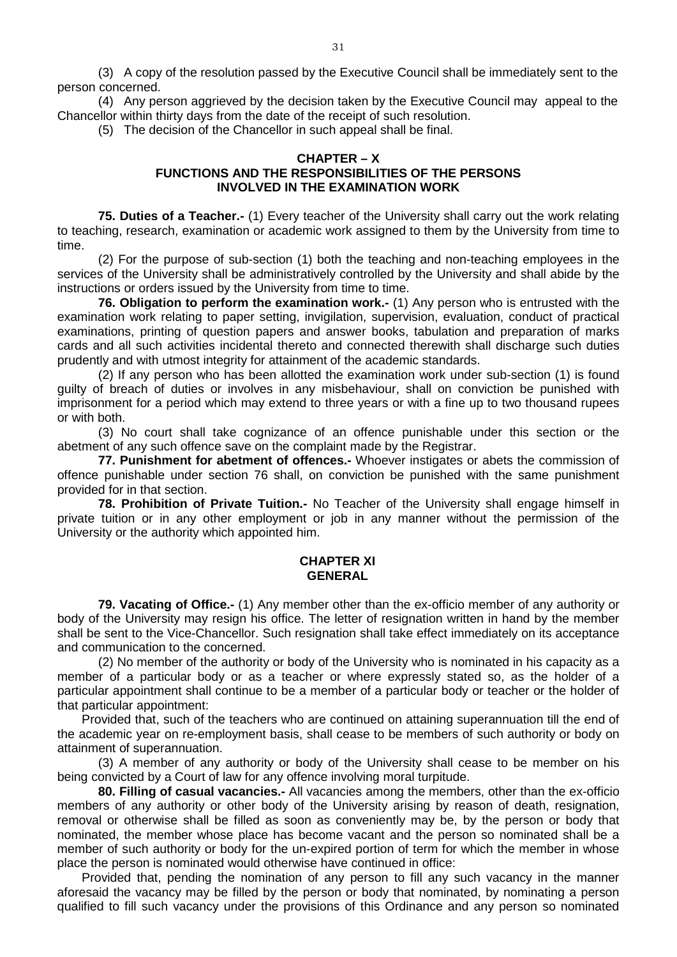(3) A copy of the resolution passed by the Executive Council shall be immediately sent to the person concerned.

(4) Any person aggrieved by the decision taken by the Executive Council may appeal to the Chancellor within thirty days from the date of the receipt of such resolution.

(5) The decision of the Chancellor in such appeal shall be final.

#### **CHAPTER – X FUNCTIONS AND THE RESPONSIBILITIES OF THE PERSONS INVOLVED IN THE EXAMINATION WORK**

**75. Duties of a Teacher.-** (1) Every teacher of the University shall carry out the work relating to teaching, research, examination or academic work assigned to them by the University from time to time.

(2) For the purpose of sub-section (1) both the teaching and non-teaching employees in the services of the University shall be administratively controlled by the University and shall abide by the instructions or orders issued by the University from time to time.

**76. Obligation to perform the examination work.-** (1) Any person who is entrusted with the examination work relating to paper setting, invigilation, supervision, evaluation, conduct of practical examinations, printing of question papers and answer books, tabulation and preparation of marks cards and all such activities incidental thereto and connected therewith shall discharge such duties prudently and with utmost integrity for attainment of the academic standards.

(2) If any person who has been allotted the examination work under sub-section (1) is found guilty of breach of duties or involves in any misbehaviour, shall on conviction be punished with imprisonment for a period which may extend to three years or with a fine up to two thousand rupees or with both.

(3) No court shall take cognizance of an offence punishable under this section or the abetment of any such offence save on the complaint made by the Registrar.

**77. Punishment for abetment of offences.-** Whoever instigates or abets the commission of offence punishable under section 76 shall, on conviction be punished with the same punishment provided for in that section.

**78. Prohibition of Private Tuition.-** No Teacher of the University shall engage himself in private tuition or in any other employment or job in any manner without the permission of the University or the authority which appointed him.

#### **CHAPTER XI GENERAL**

**79. Vacating of Office.-** (1) Any member other than the ex-officio member of any authority or body of the University may resign his office. The letter of resignation written in hand by the member shall be sent to the Vice-Chancellor. Such resignation shall take effect immediately on its acceptance and communication to the concerned.

(2) No member of the authority or body of the University who is nominated in his capacity as a member of a particular body or as a teacher or where expressly stated so, as the holder of a particular appointment shall continue to be a member of a particular body or teacher or the holder of that particular appointment:

Provided that, such of the teachers who are continued on attaining superannuation till the end of the academic year on re-employment basis, shall cease to be members of such authority or body on attainment of superannuation.

(3) A member of any authority or body of the University shall cease to be member on his being convicted by a Court of law for any offence involving moral turpitude.

**80. Filling of casual vacancies.-** All vacancies among the members, other than the ex-officio members of any authority or other body of the University arising by reason of death, resignation, removal or otherwise shall be filled as soon as conveniently may be, by the person or body that nominated, the member whose place has become vacant and the person so nominated shall be a member of such authority or body for the un-expired portion of term for which the member in whose place the person is nominated would otherwise have continued in office:

Provided that, pending the nomination of any person to fill any such vacancy in the manner aforesaid the vacancy may be filled by the person or body that nominated, by nominating a person qualified to fill such vacancy under the provisions of this Ordinance and any person so nominated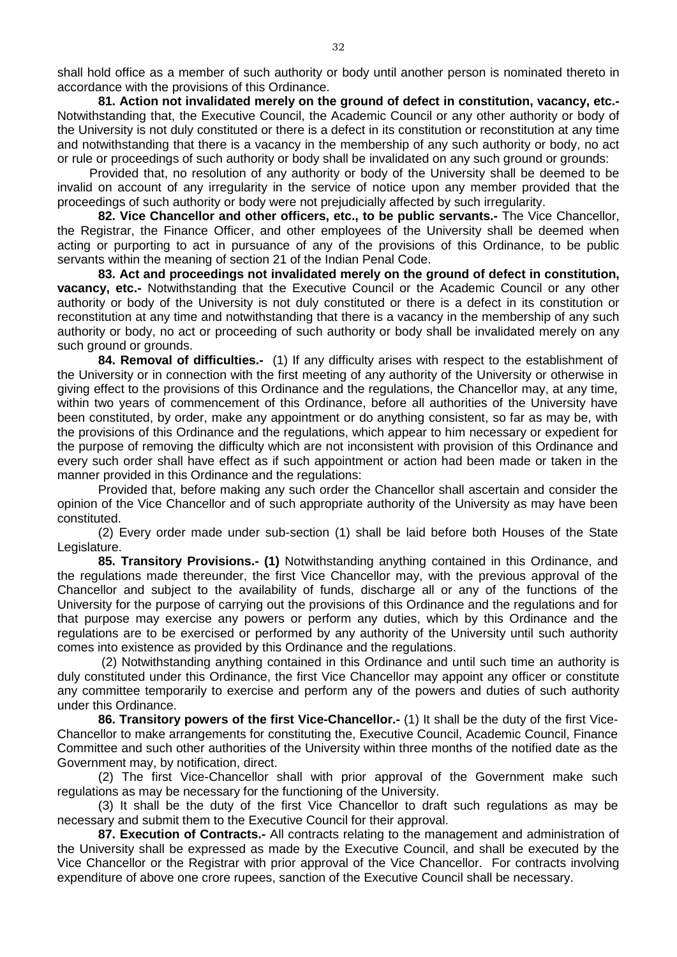shall hold office as a member of such authority or body until another person is nominated thereto in accordance with the provisions of this Ordinance.

**81. Action not invalidated merely on the ground of defect in constitution, vacancy, etc.-**  Notwithstanding that, the Executive Council, the Academic Council or any other authority or body of the University is not duly constituted or there is a defect in its constitution or reconstitution at any time and notwithstanding that there is a vacancy in the membership of any such authority or body, no act or rule or proceedings of such authority or body shall be invalidated on any such ground or grounds:

Provided that, no resolution of any authority or body of the University shall be deemed to be invalid on account of any irregularity in the service of notice upon any member provided that the proceedings of such authority or body were not prejudicially affected by such irregularity.

**82. Vice Chancellor and other officers, etc., to be public servants.-** The Vice Chancellor, the Registrar, the Finance Officer, and other employees of the University shall be deemed when acting or purporting to act in pursuance of any of the provisions of this Ordinance, to be public servants within the meaning of section 21 of the Indian Penal Code.

**83. Act and proceedings not invalidated merely on the ground of defect in constitution, vacancy, etc.-** Notwithstanding that the Executive Council or the Academic Council or any other authority or body of the University is not duly constituted or there is a defect in its constitution or reconstitution at any time and notwithstanding that there is a vacancy in the membership of any such authority or body, no act or proceeding of such authority or body shall be invalidated merely on any such ground or grounds.

**84. Removal of difficulties.-** (1) If any difficulty arises with respect to the establishment of the University or in connection with the first meeting of any authority of the University or otherwise in giving effect to the provisions of this Ordinance and the regulations, the Chancellor may, at any time, within two years of commencement of this Ordinance, before all authorities of the University have been constituted, by order, make any appointment or do anything consistent, so far as may be, with the provisions of this Ordinance and the regulations, which appear to him necessary or expedient for the purpose of removing the difficulty which are not inconsistent with provision of this Ordinance and every such order shall have effect as if such appointment or action had been made or taken in the manner provided in this Ordinance and the regulations:

Provided that, before making any such order the Chancellor shall ascertain and consider the opinion of the Vice Chancellor and of such appropriate authority of the University as may have been constituted.

(2) Every order made under sub-section (1) shall be laid before both Houses of the State Legislature.

**85. Transitory Provisions.- (1)** Notwithstanding anything contained in this Ordinance, and the regulations made thereunder, the first Vice Chancellor may, with the previous approval of the Chancellor and subject to the availability of funds, discharge all or any of the functions of the University for the purpose of carrying out the provisions of this Ordinance and the regulations and for that purpose may exercise any powers or perform any duties, which by this Ordinance and the regulations are to be exercised or performed by any authority of the University until such authority comes into existence as provided by this Ordinance and the regulations.

(2) Notwithstanding anything contained in this Ordinance and until such time an authority is duly constituted under this Ordinance, the first Vice Chancellor may appoint any officer or constitute any committee temporarily to exercise and perform any of the powers and duties of such authority under this Ordinance.

**86. Transitory powers of the first Vice-Chancellor.-** (1) It shall be the duty of the first Vice-Chancellor to make arrangements for constituting the, Executive Council, Academic Council, Finance Committee and such other authorities of the University within three months of the notified date as the Government may, by notification, direct.

(2) The first Vice-Chancellor shall with prior approval of the Government make such regulations as may be necessary for the functioning of the University.

(3) It shall be the duty of the first Vice Chancellor to draft such regulations as may be necessary and submit them to the Executive Council for their approval.

**87. Execution of Contracts.-** All contracts relating to the management and administration of the University shall be expressed as made by the Executive Council, and shall be executed by the Vice Chancellor or the Registrar with prior approval of the Vice Chancellor. For contracts involving expenditure of above one crore rupees, sanction of the Executive Council shall be necessary.